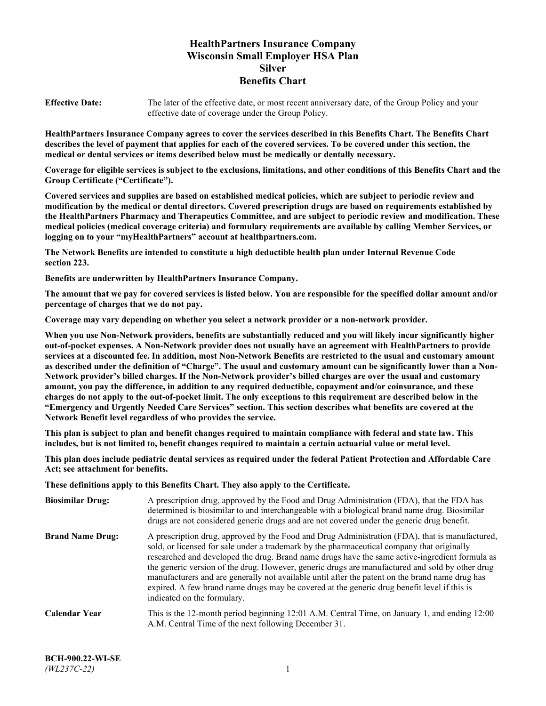# **HealthPartners Insurance Company Wisconsin Small Employer HSA Plan Silver Benefits Chart**

**Effective Date:** The later of the effective date, or most recent anniversary date, of the Group Policy and your effective date of coverage under the Group Policy.

**HealthPartners Insurance Company agrees to cover the services described in this Benefits Chart. The Benefits Chart describes the level of payment that applies for each of the covered services. To be covered under this section, the medical or dental services or items described below must be medically or dentally necessary.**

**Coverage for eligible services is subject to the exclusions, limitations, and other conditions of this Benefits Chart and the Group Certificate ("Certificate").**

**Covered services and supplies are based on established medical policies, which are subject to periodic review and modification by the medical or dental directors. Covered prescription drugs are based on requirements established by the HealthPartners Pharmacy and Therapeutics Committee, and are subject to periodic review and modification. These medical policies (medical coverage criteria) and formulary requirements are available by calling Member Services, or logging on to your "myHealthPartners" account at [healthpartners.com.](https://www.healthpartners.com/hp/index.html)**

**The Network Benefits are intended to constitute a high deductible health plan under Internal Revenue Code section 223.**

**Benefits are underwritten by HealthPartners Insurance Company.**

**The amount that we pay for covered services is listed below. You are responsible for the specified dollar amount and/or percentage of charges that we do not pay.**

**Coverage may vary depending on whether you select a network provider or a non-network provider.**

**When you use Non-Network providers, benefits are substantially reduced and you will likely incur significantly higher out-of-pocket expenses. A Non-Network provider does not usually have an agreement with HealthPartners to provide services at a discounted fee. In addition, most Non-Network Benefits are restricted to the usual and customary amount as described under the definition of "Charge". The usual and customary amount can be significantly lower than a Non-Network provider's billed charges. If the Non-Network provider's billed charges are over the usual and customary amount, you pay the difference, in addition to any required deductible, copayment and/or coinsurance, and these charges do not apply to the out-of-pocket limit. The only exceptions to this requirement are described below in the "Emergency and Urgently Needed Care Services" section. This section describes what benefits are covered at the Network Benefit level regardless of who provides the service.**

**This plan is subject to plan and benefit changes required to maintain compliance with federal and state law. This includes, but is not limited to, benefit changes required to maintain a certain actuarial value or metal level.**

**This plan does include pediatric dental services as required under the federal Patient Protection and Affordable Care Act; see attachment for benefits.**

**These definitions apply to this Benefits Chart. They also apply to the Certificate.**

| <b>Biosimilar Drug:</b> | A prescription drug, approved by the Food and Drug Administration (FDA), that the FDA has<br>determined is biosimilar to and interchangeable with a biological brand name drug. Biosimilar<br>drugs are not considered generic drugs and are not covered under the generic drug benefit.                                                                                                                                                                                                                                                                                                                                           |
|-------------------------|------------------------------------------------------------------------------------------------------------------------------------------------------------------------------------------------------------------------------------------------------------------------------------------------------------------------------------------------------------------------------------------------------------------------------------------------------------------------------------------------------------------------------------------------------------------------------------------------------------------------------------|
| <b>Brand Name Drug:</b> | A prescription drug, approved by the Food and Drug Administration (FDA), that is manufactured,<br>sold, or licensed for sale under a trademark by the pharmaceutical company that originally<br>researched and developed the drug. Brand name drugs have the same active-ingredient formula as<br>the generic version of the drug. However, generic drugs are manufactured and sold by other drug<br>manufacturers and are generally not available until after the patent on the brand name drug has<br>expired. A few brand name drugs may be covered at the generic drug benefit level if this is<br>indicated on the formulary. |
| <b>Calendar Year</b>    | This is the 12-month period beginning 12:01 A.M. Central Time, on January 1, and ending 12:00<br>A.M. Central Time of the next following December 31.                                                                                                                                                                                                                                                                                                                                                                                                                                                                              |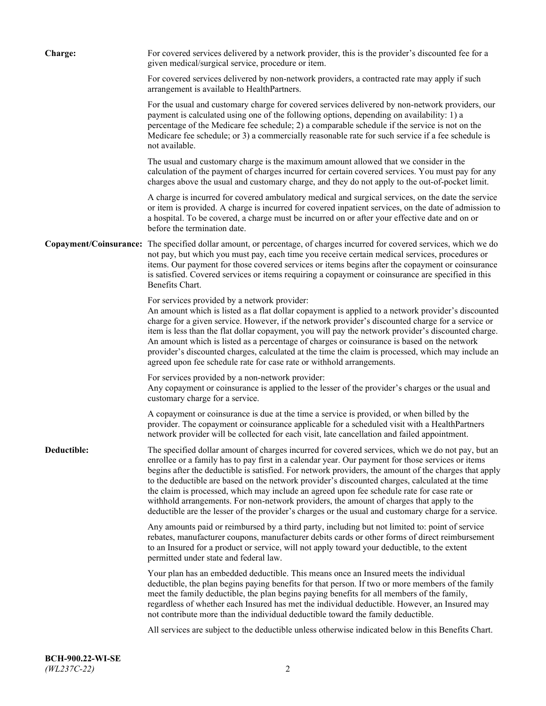| Charge:     | For covered services delivered by a network provider, this is the provider's discounted fee for a<br>given medical/surgical service, procedure or item.                                                                                                                                                                                                                                                                                                                                                                                                                                                                                                                                                                 |
|-------------|-------------------------------------------------------------------------------------------------------------------------------------------------------------------------------------------------------------------------------------------------------------------------------------------------------------------------------------------------------------------------------------------------------------------------------------------------------------------------------------------------------------------------------------------------------------------------------------------------------------------------------------------------------------------------------------------------------------------------|
|             | For covered services delivered by non-network providers, a contracted rate may apply if such<br>arrangement is available to HealthPartners.                                                                                                                                                                                                                                                                                                                                                                                                                                                                                                                                                                             |
|             | For the usual and customary charge for covered services delivered by non-network providers, our<br>payment is calculated using one of the following options, depending on availability: 1) a<br>percentage of the Medicare fee schedule; 2) a comparable schedule if the service is not on the<br>Medicare fee schedule; or 3) a commercially reasonable rate for such service if a fee schedule is<br>not available.                                                                                                                                                                                                                                                                                                   |
|             | The usual and customary charge is the maximum amount allowed that we consider in the<br>calculation of the payment of charges incurred for certain covered services. You must pay for any<br>charges above the usual and customary charge, and they do not apply to the out-of-pocket limit.                                                                                                                                                                                                                                                                                                                                                                                                                            |
|             | A charge is incurred for covered ambulatory medical and surgical services, on the date the service<br>or item is provided. A charge is incurred for covered inpatient services, on the date of admission to<br>a hospital. To be covered, a charge must be incurred on or after your effective date and on or<br>before the termination date.                                                                                                                                                                                                                                                                                                                                                                           |
|             | Copayment/Coinsurance: The specified dollar amount, or percentage, of charges incurred for covered services, which we do<br>not pay, but which you must pay, each time you receive certain medical services, procedures or<br>items. Our payment for those covered services or items begins after the copayment or coinsurance<br>is satisfied. Covered services or items requiring a copayment or coinsurance are specified in this<br>Benefits Chart.                                                                                                                                                                                                                                                                 |
|             | For services provided by a network provider:<br>An amount which is listed as a flat dollar copayment is applied to a network provider's discounted<br>charge for a given service. However, if the network provider's discounted charge for a service or<br>item is less than the flat dollar copayment, you will pay the network provider's discounted charge.<br>An amount which is listed as a percentage of charges or coinsurance is based on the network<br>provider's discounted charges, calculated at the time the claim is processed, which may include an<br>agreed upon fee schedule rate for case rate or withhold arrangements.                                                                            |
|             | For services provided by a non-network provider:<br>Any copayment or coinsurance is applied to the lesser of the provider's charges or the usual and<br>customary charge for a service.                                                                                                                                                                                                                                                                                                                                                                                                                                                                                                                                 |
|             | A copayment or coinsurance is due at the time a service is provided, or when billed by the<br>provider. The copayment or coinsurance applicable for a scheduled visit with a HealthPartners<br>network provider will be collected for each visit, late cancellation and failed appointment.                                                                                                                                                                                                                                                                                                                                                                                                                             |
| Deductible: | The specified dollar amount of charges incurred for covered services, which we do not pay, but an<br>enrollee or a family has to pay first in a calendar year. Our payment for those services or items<br>begins after the deductible is satisfied. For network providers, the amount of the charges that apply<br>to the deductible are based on the network provider's discounted charges, calculated at the time<br>the claim is processed, which may include an agreed upon fee schedule rate for case rate or<br>withhold arrangements. For non-network providers, the amount of charges that apply to the<br>deductible are the lesser of the provider's charges or the usual and customary charge for a service. |
|             | Any amounts paid or reimbursed by a third party, including but not limited to: point of service<br>rebates, manufacturer coupons, manufacturer debits cards or other forms of direct reimbursement<br>to an Insured for a product or service, will not apply toward your deductible, to the extent<br>permitted under state and federal law.                                                                                                                                                                                                                                                                                                                                                                            |
|             | Your plan has an embedded deductible. This means once an Insured meets the individual<br>deductible, the plan begins paying benefits for that person. If two or more members of the family<br>meet the family deductible, the plan begins paying benefits for all members of the family,<br>regardless of whether each Insured has met the individual deductible. However, an Insured may<br>not contribute more than the individual deductible toward the family deductible.                                                                                                                                                                                                                                           |
|             | All services are subject to the deductible unless otherwise indicated below in this Benefits Chart.                                                                                                                                                                                                                                                                                                                                                                                                                                                                                                                                                                                                                     |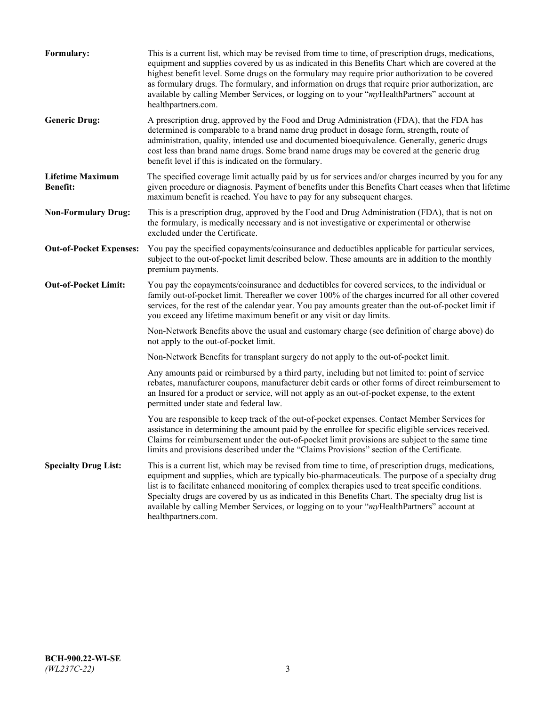| Formulary:                                 | This is a current list, which may be revised from time to time, of prescription drugs, medications,<br>equipment and supplies covered by us as indicated in this Benefits Chart which are covered at the<br>highest benefit level. Some drugs on the formulary may require prior authorization to be covered<br>as formulary drugs. The formulary, and information on drugs that require prior authorization, are<br>available by calling Member Services, or logging on to your "myHealthPartners" account at<br>healthpartners.com. |
|--------------------------------------------|---------------------------------------------------------------------------------------------------------------------------------------------------------------------------------------------------------------------------------------------------------------------------------------------------------------------------------------------------------------------------------------------------------------------------------------------------------------------------------------------------------------------------------------|
| <b>Generic Drug:</b>                       | A prescription drug, approved by the Food and Drug Administration (FDA), that the FDA has<br>determined is comparable to a brand name drug product in dosage form, strength, route of<br>administration, quality, intended use and documented bioequivalence. Generally, generic drugs<br>cost less than brand name drugs. Some brand name drugs may be covered at the generic drug<br>benefit level if this is indicated on the formulary.                                                                                           |
| <b>Lifetime Maximum</b><br><b>Benefit:</b> | The specified coverage limit actually paid by us for services and/or charges incurred by you for any<br>given procedure or diagnosis. Payment of benefits under this Benefits Chart ceases when that lifetime<br>maximum benefit is reached. You have to pay for any subsequent charges.                                                                                                                                                                                                                                              |
| <b>Non-Formulary Drug:</b>                 | This is a prescription drug, approved by the Food and Drug Administration (FDA), that is not on<br>the formulary, is medically necessary and is not investigative or experimental or otherwise<br>excluded under the Certificate.                                                                                                                                                                                                                                                                                                     |
| <b>Out-of-Pocket Expenses:</b>             | You pay the specified copayments/coinsurance and deductibles applicable for particular services,<br>subject to the out-of-pocket limit described below. These amounts are in addition to the monthly<br>premium payments.                                                                                                                                                                                                                                                                                                             |
| <b>Out-of-Pocket Limit:</b>                | You pay the copayments/coinsurance and deductibles for covered services, to the individual or<br>family out-of-pocket limit. Thereafter we cover 100% of the charges incurred for all other covered<br>services, for the rest of the calendar year. You pay amounts greater than the out-of-pocket limit if<br>you exceed any lifetime maximum benefit or any visit or day limits.                                                                                                                                                    |
|                                            | Non-Network Benefits above the usual and customary charge (see definition of charge above) do<br>not apply to the out-of-pocket limit.                                                                                                                                                                                                                                                                                                                                                                                                |
|                                            | Non-Network Benefits for transplant surgery do not apply to the out-of-pocket limit.                                                                                                                                                                                                                                                                                                                                                                                                                                                  |
|                                            | Any amounts paid or reimbursed by a third party, including but not limited to: point of service<br>rebates, manufacturer coupons, manufacturer debit cards or other forms of direct reimbursement to<br>an Insured for a product or service, will not apply as an out-of-pocket expense, to the extent<br>permitted under state and federal law.                                                                                                                                                                                      |
|                                            | You are responsible to keep track of the out-of-pocket expenses. Contact Member Services for<br>assistance in determining the amount paid by the enrollee for specific eligible services received.<br>Claims for reimbursement under the out-of-pocket limit provisions are subject to the same time<br>limits and provisions described under the "Claims Provisions" section of the Certificate.                                                                                                                                     |
| <b>Specialty Drug List:</b>                | This is a current list, which may be revised from time to time, of prescription drugs, medications,<br>equipment and supplies, which are typically bio-pharmaceuticals. The purpose of a specialty drug<br>list is to facilitate enhanced monitoring of complex therapies used to treat specific conditions.<br>Specialty drugs are covered by us as indicated in this Benefits Chart. The specialty drug list is<br>available by calling Member Services, or logging on to your "myHealthPartners" account at<br>healthpartners.com. |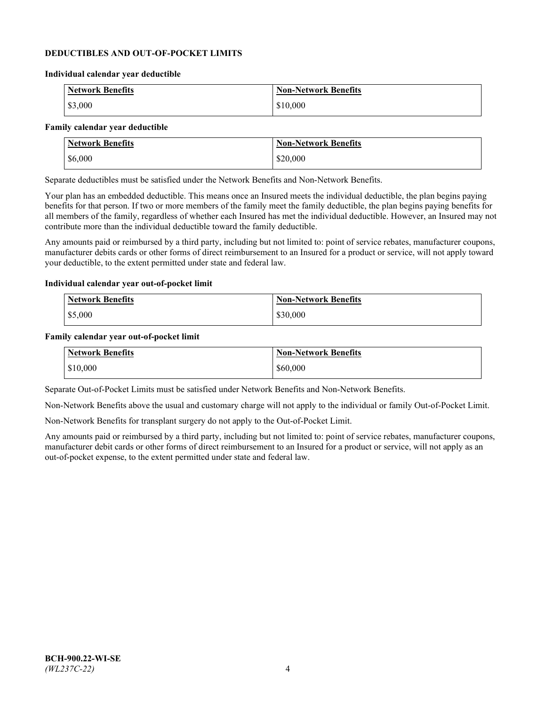### **DEDUCTIBLES AND OUT-OF-POCKET LIMITS**

#### **Individual calendar year deductible**

| <b>Network Benefits</b> | <b>Non-Network Benefits</b> |
|-------------------------|-----------------------------|
| \$3,000                 | \$10,000                    |

### **Family calendar year deductible**

| <b>Network Benefits</b> | <b>Non-Network Benefits</b> |
|-------------------------|-----------------------------|
| \$6,000                 | \$20,000                    |

Separate deductibles must be satisfied under the Network Benefits and Non-Network Benefits.

Your plan has an embedded deductible. This means once an Insured meets the individual deductible, the plan begins paying benefits for that person. If two or more members of the family meet the family deductible, the plan begins paying benefits for all members of the family, regardless of whether each Insured has met the individual deductible. However, an Insured may not contribute more than the individual deductible toward the family deductible.

Any amounts paid or reimbursed by a third party, including but not limited to: point of service rebates, manufacturer coupons, manufacturer debits cards or other forms of direct reimbursement to an Insured for a product or service, will not apply toward your deductible, to the extent permitted under state and federal law.

#### **Individual calendar year out-of-pocket limit**

| Network Benefits | <b>Non-Network Benefits</b> |
|------------------|-----------------------------|
| \$5,000          | \$30,000                    |

#### **Family calendar year out-of-pocket limit**

| <b>Network Benefits</b> | <b>Non-Network Benefits</b> |
|-------------------------|-----------------------------|
| \$10,000                | \$60,000                    |

Separate Out-of-Pocket Limits must be satisfied under Network Benefits and Non-Network Benefits.

Non-Network Benefits above the usual and customary charge will not apply to the individual or family Out-of-Pocket Limit.

Non-Network Benefits for transplant surgery do not apply to the Out-of-Pocket Limit.

Any amounts paid or reimbursed by a third party, including but not limited to: point of service rebates, manufacturer coupons, manufacturer debit cards or other forms of direct reimbursement to an Insured for a product or service, will not apply as an out-of-pocket expense, to the extent permitted under state and federal law.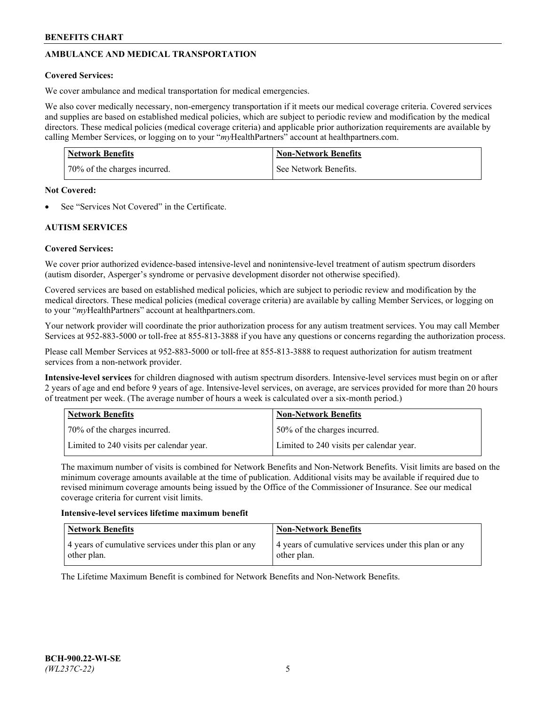# **AMBULANCE AND MEDICAL TRANSPORTATION**

### **Covered Services:**

We cover ambulance and medical transportation for medical emergencies.

We also cover medically necessary, non-emergency transportation if it meets our medical coverage criteria. Covered services and supplies are based on established medical policies, which are subject to periodic review and modification by the medical directors. These medical policies (medical coverage criteria) and applicable prior authorization requirements are available by calling Member Services, or logging on to your "*my*HealthPartners" account a[t healthpartners.com.](https://www.healthpartners.com/hp/index.html)

| Network Benefits             | <b>Non-Network Benefits</b> |
|------------------------------|-----------------------------|
| 70% of the charges incurred. | See Network Benefits.       |

#### **Not Covered:**

See "Services Not Covered" in the Certificate.

# **AUTISM SERVICES**

### **Covered Services:**

We cover prior authorized evidence-based intensive-level and nonintensive-level treatment of autism spectrum disorders (autism disorder, Asperger's syndrome or pervasive development disorder not otherwise specified).

Covered services are based on established medical policies, which are subject to periodic review and modification by the medical directors. These medical policies (medical coverage criteria) are available by calling Member Services, or logging on to your "*my*HealthPartners" account at [healthpartners.com.](https://www.healthpartners.com/hp/index.html)

Your network provider will coordinate the prior authorization process for any autism treatment services. You may call Member Services at 952-883-5000 or toll-free at 855-813-3888 if you have any questions or concerns regarding the authorization process.

Please call Member Services at 952-883-5000 or toll-free at 855-813-3888 to request authorization for autism treatment services from a non-network provider.

**Intensive-level services** for children diagnosed with autism spectrum disorders. Intensive-level services must begin on or after 2 years of age and end before 9 years of age. Intensive-level services, on average, are services provided for more than 20 hours of treatment per week. (The average number of hours a week is calculated over a six-month period.)

| Network Benefits                         | <b>Non-Network Benefits</b>              |
|------------------------------------------|------------------------------------------|
| 70% of the charges incurred.             | 50% of the charges incurred.             |
| Limited to 240 visits per calendar year. | Limited to 240 visits per calendar year. |

The maximum number of visits is combined for Network Benefits and Non-Network Benefits. Visit limits are based on the minimum coverage amounts available at the time of publication. Additional visits may be available if required due to revised minimum coverage amounts being issued by the Office of the Commissioner of Insurance. See our medical coverage criteria for current visit limits.

#### **Intensive-level services lifetime maximum benefit**

| Network Benefits                                                     | <b>Non-Network Benefits</b>                                          |
|----------------------------------------------------------------------|----------------------------------------------------------------------|
| 4 years of cumulative services under this plan or any<br>other plan. | 4 years of cumulative services under this plan or any<br>other plan. |

The Lifetime Maximum Benefit is combined for Network Benefits and Non-Network Benefits.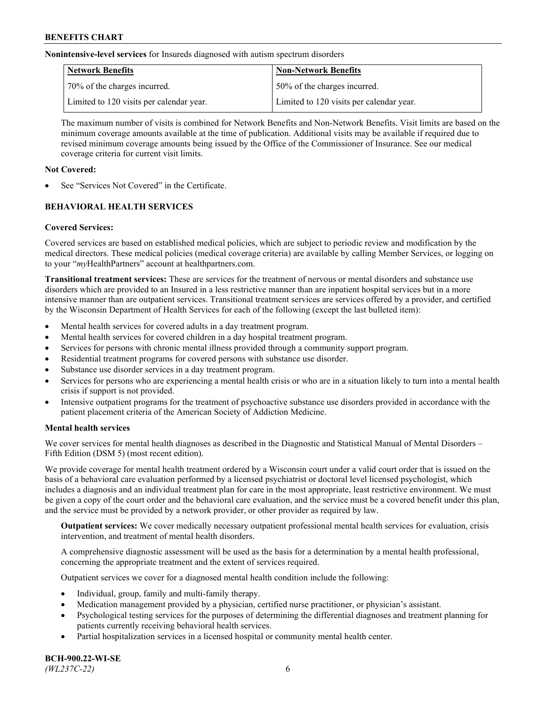**Nonintensive-level services** for Insureds diagnosed with autism spectrum disorders

| Network Benefits                         | <b>Non-Network Benefits</b>              |
|------------------------------------------|------------------------------------------|
| 70% of the charges incurred.             | 150% of the charges incurred.            |
| Limited to 120 visits per calendar year. | Limited to 120 visits per calendar year. |

The maximum number of visits is combined for Network Benefits and Non-Network Benefits. Visit limits are based on the minimum coverage amounts available at the time of publication. Additional visits may be available if required due to revised minimum coverage amounts being issued by the Office of the Commissioner of Insurance. See our medical coverage criteria for current visit limits.

## **Not Covered:**

See "Services Not Covered" in the Certificate.

# **BEHAVIORAL HEALTH SERVICES**

### **Covered Services:**

Covered services are based on established medical policies, which are subject to periodic review and modification by the medical directors. These medical policies (medical coverage criteria) are available by calling Member Services, or logging on to your "*my*HealthPartners" account at [healthpartners.com.](https://www.healthpartners.com/hp/index.html)

**Transitional treatment services:** These are services for the treatment of nervous or mental disorders and substance use disorders which are provided to an Insured in a less restrictive manner than are inpatient hospital services but in a more intensive manner than are outpatient services. Transitional treatment services are services offered by a provider, and certified by the Wisconsin Department of Health Services for each of the following (except the last bulleted item):

- Mental health services for covered adults in a day treatment program.
- Mental health services for covered children in a day hospital treatment program.
- Services for persons with chronic mental illness provided through a community support program.
- Residential treatment programs for covered persons with substance use disorder.
- Substance use disorder services in a day treatment program.
- Services for persons who are experiencing a mental health crisis or who are in a situation likely to turn into a mental health crisis if support is not provided.
- Intensive outpatient programs for the treatment of psychoactive substance use disorders provided in accordance with the patient placement criteria of the American Society of Addiction Medicine.

### **Mental health services**

We cover services for mental health diagnoses as described in the Diagnostic and Statistical Manual of Mental Disorders – Fifth Edition (DSM 5) (most recent edition).

We provide coverage for mental health treatment ordered by a Wisconsin court under a valid court order that is issued on the basis of a behavioral care evaluation performed by a licensed psychiatrist or doctoral level licensed psychologist, which includes a diagnosis and an individual treatment plan for care in the most appropriate, least restrictive environment. We must be given a copy of the court order and the behavioral care evaluation, and the service must be a covered benefit under this plan, and the service must be provided by a network provider, or other provider as required by law.

**Outpatient services:** We cover medically necessary outpatient professional mental health services for evaluation, crisis intervention, and treatment of mental health disorders.

A comprehensive diagnostic assessment will be used as the basis for a determination by a mental health professional, concerning the appropriate treatment and the extent of services required.

Outpatient services we cover for a diagnosed mental health condition include the following:

- Individual, group, family and multi-family therapy.
- Medication management provided by a physician, certified nurse practitioner, or physician's assistant.
- Psychological testing services for the purposes of determining the differential diagnoses and treatment planning for patients currently receiving behavioral health services.
- Partial hospitalization services in a licensed hospital or community mental health center.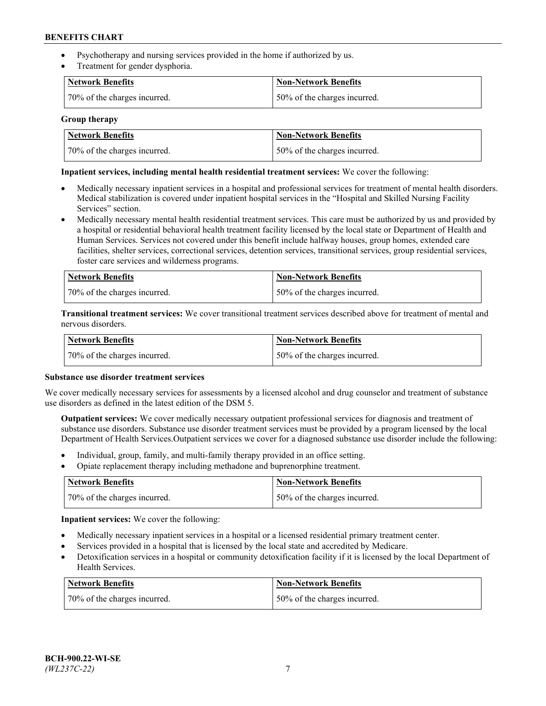- Psychotherapy and nursing services provided in the home if authorized by us.
- Treatment for gender dysphoria.

| Network Benefits             | <b>Non-Network Benefits</b>  |
|------------------------------|------------------------------|
| 70% of the charges incurred. | 50% of the charges incurred. |

### **Group therapy**

| <b>Network Benefits</b>      | <b>Non-Network Benefits</b>   |
|------------------------------|-------------------------------|
| 70% of the charges incurred. | 150% of the charges incurred. |

### **Inpatient services, including mental health residential treatment services:** We cover the following:

- Medically necessary inpatient services in a hospital and professional services for treatment of mental health disorders. Medical stabilization is covered under inpatient hospital services in the "Hospital and Skilled Nursing Facility Services" section.
- Medically necessary mental health residential treatment services. This care must be authorized by us and provided by a hospital or residential behavioral health treatment facility licensed by the local state or Department of Health and Human Services. Services not covered under this benefit include halfway houses, group homes, extended care facilities, shelter services, correctional services, detention services, transitional services, group residential services, foster care services and wilderness programs.

| Network Benefits             | Non-Network Benefits         |
|------------------------------|------------------------------|
| 70% of the charges incurred. | 50% of the charges incurred. |

**Transitional treatment services:** We cover transitional treatment services described above for treatment of mental and nervous disorders.

| <b>Network Benefits</b>      | <b>Non-Network Benefits</b>  |
|------------------------------|------------------------------|
| 70% of the charges incurred. | 50% of the charges incurred. |

### **Substance use disorder treatment services**

We cover medically necessary services for assessments by a licensed alcohol and drug counselor and treatment of substance use disorders as defined in the latest edition of the DSM 5.

**Outpatient services:** We cover medically necessary outpatient professional services for diagnosis and treatment of substance use disorders. Substance use disorder treatment services must be provided by a program licensed by the local Department of Health Services.Outpatient services we cover for a diagnosed substance use disorder include the following:

- Individual, group, family, and multi-family therapy provided in an office setting.
- Opiate replacement therapy including methadone and buprenorphine treatment.

| Network Benefits             | Non-Network Benefits         |
|------------------------------|------------------------------|
| 70% of the charges incurred. | 50% of the charges incurred. |

**Inpatient services:** We cover the following:

- Medically necessary inpatient services in a hospital or a licensed residential primary treatment center.
- Services provided in a hospital that is licensed by the local state and accredited by Medicare.
- Detoxification services in a hospital or community detoxification facility if it is licensed by the local Department of Health Services.

| Network Benefits             | Non-Network Benefits         |
|------------------------------|------------------------------|
| 70% of the charges incurred. | 50% of the charges incurred. |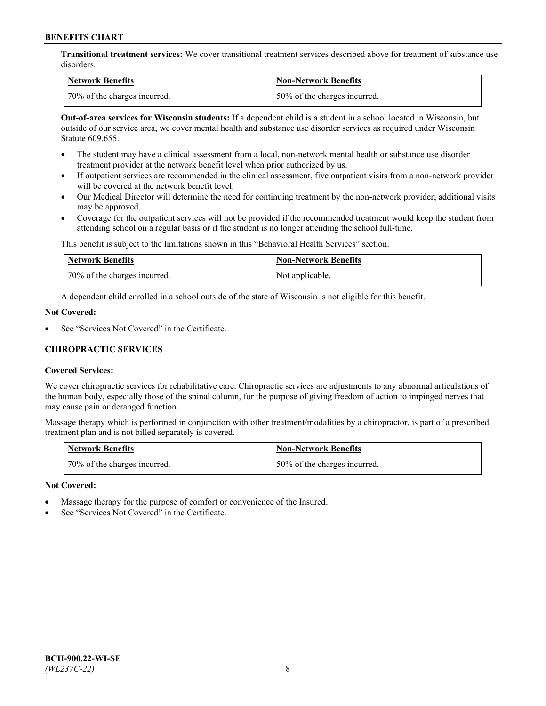**Transitional treatment services:** We cover transitional treatment services described above for treatment of substance use disorders.

| Network Benefits             | Non-Network Benefits          |
|------------------------------|-------------------------------|
| 70% of the charges incurred. | 150% of the charges incurred. |

**Out-of-area services for Wisconsin students:** If a dependent child is a student in a school located in Wisconsin, but outside of our service area, we cover mental health and substance use disorder services as required under Wisconsin Statute 609.655.

- The student may have a clinical assessment from a local, non-network mental health or substance use disorder treatment provider at the network benefit level when prior authorized by us.
- If outpatient services are recommended in the clinical assessment, five outpatient visits from a non-network provider will be covered at the network benefit level.
- Our Medical Director will determine the need for continuing treatment by the non-network provider; additional visits may be approved.
- Coverage for the outpatient services will not be provided if the recommended treatment would keep the student from attending school on a regular basis or if the student is no longer attending the school full-time.

This benefit is subject to the limitations shown in this "Behavioral Health Services" section.

| Network Benefits             | <b>Non-Network Benefits</b> |
|------------------------------|-----------------------------|
| 70% of the charges incurred. | Not applicable.             |

A dependent child enrolled in a school outside of the state of Wisconsin is not eligible for this benefit.

### **Not Covered:**

See "Services Not Covered" in the Certificate.

## **CHIROPRACTIC SERVICES**

### **Covered Services:**

We cover chiropractic services for rehabilitative care. Chiropractic services are adjustments to any abnormal articulations of the human body, especially those of the spinal column, for the purpose of giving freedom of action to impinged nerves that may cause pain or deranged function.

Massage therapy which is performed in conjunction with other treatment/modalities by a chiropractor, is part of a prescribed treatment plan and is not billed separately is covered.

| Network Benefits             | <b>Non-Network Benefits</b>   |
|------------------------------|-------------------------------|
| 70% of the charges incurred. | 150% of the charges incurred. |

### **Not Covered:**

- Massage therapy for the purpose of comfort or convenience of the Insured.
- See "Services Not Covered" in the Certificate.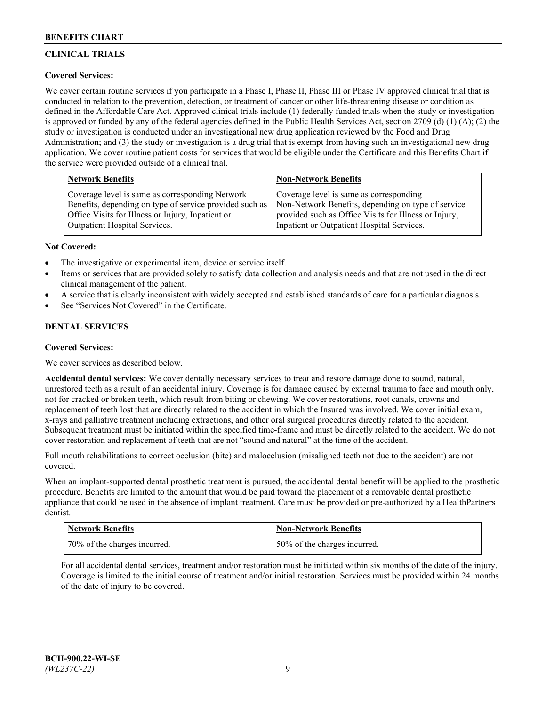# **CLINICAL TRIALS**

## **Covered Services:**

We cover certain routine services if you participate in a Phase I, Phase II, Phase III or Phase IV approved clinical trial that is conducted in relation to the prevention, detection, or treatment of cancer or other life-threatening disease or condition as defined in the Affordable Care Act. Approved clinical trials include (1) federally funded trials when the study or investigation is approved or funded by any of the federal agencies defined in the Public Health Services Act, section 2709 (d) (1) (A); (2) the study or investigation is conducted under an investigational new drug application reviewed by the Food and Drug Administration; and (3) the study or investigation is a drug trial that is exempt from having such an investigational new drug application. We cover routine patient costs for services that would be eligible under the Certificate and this Benefits Chart if the service were provided outside of a clinical trial.

| <b>Network Benefits</b>                                 | <b>Non-Network Benefits</b>                           |
|---------------------------------------------------------|-------------------------------------------------------|
| Coverage level is same as corresponding Network         | Coverage level is same as corresponding               |
| Benefits, depending on type of service provided such as | Non-Network Benefits, depending on type of service    |
| Office Visits for Illness or Injury, Inpatient or       | provided such as Office Visits for Illness or Injury, |
| Outpatient Hospital Services.                           | Inpatient or Outpatient Hospital Services.            |

### **Not Covered:**

- The investigative or experimental item, device or service itself.
- Items or services that are provided solely to satisfy data collection and analysis needs and that are not used in the direct clinical management of the patient.
- A service that is clearly inconsistent with widely accepted and established standards of care for a particular diagnosis.
- See "Services Not Covered" in the Certificate.

# **DENTAL SERVICES**

### **Covered Services:**

We cover services as described below.

**Accidental dental services:** We cover dentally necessary services to treat and restore damage done to sound, natural, unrestored teeth as a result of an accidental injury. Coverage is for damage caused by external trauma to face and mouth only, not for cracked or broken teeth, which result from biting or chewing. We cover restorations, root canals, crowns and replacement of teeth lost that are directly related to the accident in which the Insured was involved. We cover initial exam, x-rays and palliative treatment including extractions, and other oral surgical procedures directly related to the accident. Subsequent treatment must be initiated within the specified time-frame and must be directly related to the accident. We do not cover restoration and replacement of teeth that are not "sound and natural" at the time of the accident.

Full mouth rehabilitations to correct occlusion (bite) and malocclusion (misaligned teeth not due to the accident) are not covered.

When an implant-supported dental prosthetic treatment is pursued, the accidental dental benefit will be applied to the prosthetic procedure. Benefits are limited to the amount that would be paid toward the placement of a removable dental prosthetic appliance that could be used in the absence of implant treatment. Care must be provided or pre-authorized by a HealthPartners dentist.

| <b>Network Benefits</b>      | <b>Non-Network Benefits</b>  |
|------------------------------|------------------------------|
| 70% of the charges incurred. | 50% of the charges incurred. |

For all accidental dental services, treatment and/or restoration must be initiated within six months of the date of the injury. Coverage is limited to the initial course of treatment and/or initial restoration. Services must be provided within 24 months of the date of injury to be covered.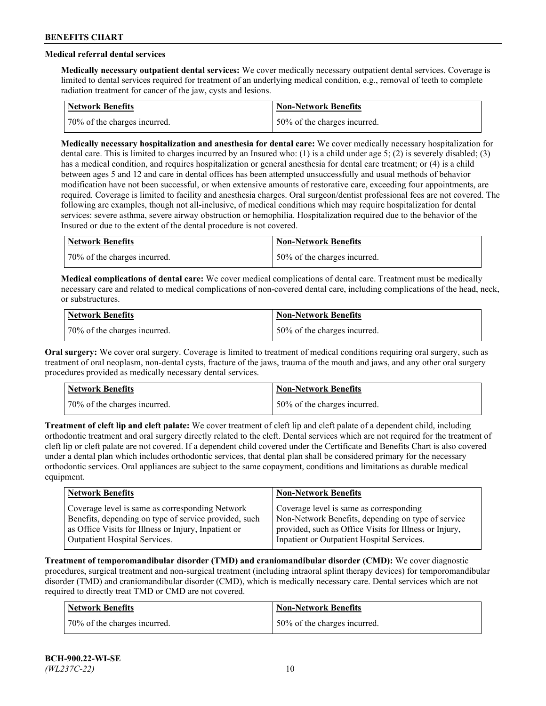# **Medical referral dental services**

**Medically necessary outpatient dental services:** We cover medically necessary outpatient dental services. Coverage is limited to dental services required for treatment of an underlying medical condition, e.g., removal of teeth to complete radiation treatment for cancer of the jaw, cysts and lesions.

| <b>Network Benefits</b>       | Non-Network Benefits             |
|-------------------------------|----------------------------------|
| 170% of the charges incurred. | $150\%$ of the charges incurred. |

**Medically necessary hospitalization and anesthesia for dental care:** We cover medically necessary hospitalization for dental care. This is limited to charges incurred by an Insured who: (1) is a child under age 5; (2) is severely disabled; (3) has a medical condition, and requires hospitalization or general anesthesia for dental care treatment; or (4) is a child between ages 5 and 12 and care in dental offices has been attempted unsuccessfully and usual methods of behavior modification have not been successful, or when extensive amounts of restorative care, exceeding four appointments, are required. Coverage is limited to facility and anesthesia charges. Oral surgeon/dentist professional fees are not covered. The following are examples, though not all-inclusive, of medical conditions which may require hospitalization for dental services: severe asthma, severe airway obstruction or hemophilia. Hospitalization required due to the behavior of the Insured or due to the extent of the dental procedure is not covered.

| Network Benefits             | <b>Non-Network Benefits</b>  |
|------------------------------|------------------------------|
| 70% of the charges incurred. | 50% of the charges incurred. |

**Medical complications of dental care:** We cover medical complications of dental care. Treatment must be medically necessary care and related to medical complications of non-covered dental care, including complications of the head, neck, or substructures.

| Network Benefits             | Non-Network Benefits         |
|------------------------------|------------------------------|
| 70% of the charges incurred. | 50% of the charges incurred. |

**Oral surgery:** We cover oral surgery. Coverage is limited to treatment of medical conditions requiring oral surgery, such as treatment of oral neoplasm, non-dental cysts, fracture of the jaws, trauma of the mouth and jaws, and any other oral surgery procedures provided as medically necessary dental services.

| <b>Network Benefits</b>      | <b>Non-Network Benefits</b>   |
|------------------------------|-------------------------------|
| 70% of the charges incurred. | 150% of the charges incurred. |

**Treatment of cleft lip and cleft palate:** We cover treatment of cleft lip and cleft palate of a dependent child, including orthodontic treatment and oral surgery directly related to the cleft. Dental services which are not required for the treatment of cleft lip or cleft palate are not covered. If a dependent child covered under the Certificate and Benefits Chart is also covered under a dental plan which includes orthodontic services, that dental plan shall be considered primary for the necessary orthodontic services. Oral appliances are subject to the same copayment, conditions and limitations as durable medical equipment.

| <b>Network Benefits</b>                               | <b>Non-Network Benefits</b>                            |
|-------------------------------------------------------|--------------------------------------------------------|
| Coverage level is same as corresponding Network       | Coverage level is same as corresponding                |
| Benefits, depending on type of service provided, such | Non-Network Benefits, depending on type of service     |
| as Office Visits for Illness or Injury, Inpatient or  | provided, such as Office Visits for Illness or Injury, |
| Outpatient Hospital Services.                         | Inpatient or Outpatient Hospital Services.             |

**Treatment of temporomandibular disorder (TMD) and craniomandibular disorder (CMD):** We cover diagnostic procedures, surgical treatment and non-surgical treatment (including intraoral splint therapy devices) for temporomandibular disorder (TMD) and craniomandibular disorder (CMD), which is medically necessary care. Dental services which are not required to directly treat TMD or CMD are not covered.

| <b>Network Benefits</b>      | <b>Non-Network Benefits</b>   |
|------------------------------|-------------------------------|
| 70% of the charges incurred. | 150% of the charges incurred. |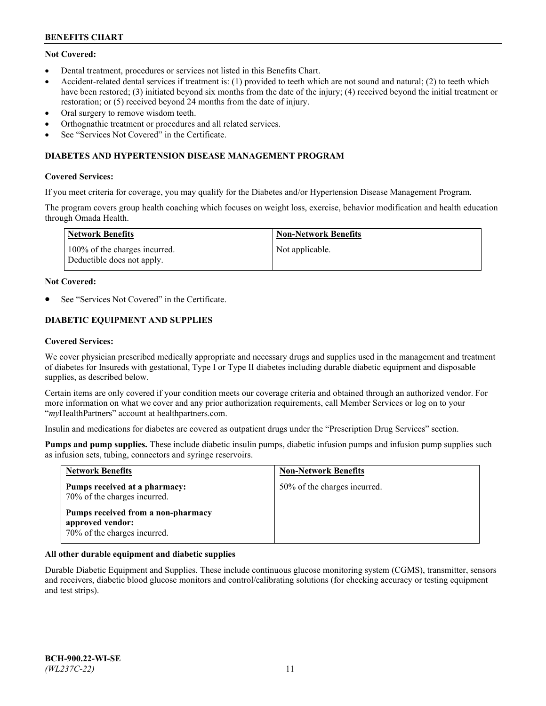# **Not Covered:**

- Dental treatment, procedures or services not listed in this Benefits Chart.
- Accident-related dental services if treatment is: (1) provided to teeth which are not sound and natural; (2) to teeth which have been restored; (3) initiated beyond six months from the date of the injury; (4) received beyond the initial treatment or restoration; or (5) received beyond 24 months from the date of injury.
- Oral surgery to remove wisdom teeth.
- Orthognathic treatment or procedures and all related services.
- See "Services Not Covered" in the Certificate.

### **DIABETES AND HYPERTENSION DISEASE MANAGEMENT PROGRAM**

### **Covered Services:**

If you meet criteria for coverage, you may qualify for the Diabetes and/or Hypertension Disease Management Program.

The program covers group health coaching which focuses on weight loss, exercise, behavior modification and health education through Omada Health.

| Network Benefits                                            | <b>Non-Network Benefits</b> |
|-------------------------------------------------------------|-----------------------------|
| 100% of the charges incurred.<br>Deductible does not apply. | Not applicable.             |

#### **Not Covered:**

See "Services Not Covered" in the Certificate.

# **DIABETIC EQUIPMENT AND SUPPLIES**

### **Covered Services:**

We cover physician prescribed medically appropriate and necessary drugs and supplies used in the management and treatment of diabetes for Insureds with gestational, Type I or Type II diabetes including durable diabetic equipment and disposable supplies, as described below.

Certain items are only covered if your condition meets our coverage criteria and obtained through an authorized vendor. For more information on what we cover and any prior authorization requirements, call Member Services or log on to your "*my*HealthPartners" account at [healthpartners.com.](http://www.healthpartners.com/)

Insulin and medications for diabetes are covered as outpatient drugs under the "Prescription Drug Services" section.

**Pumps and pump supplies.** These include diabetic insulin pumps, diabetic infusion pumps and infusion pump supplies such as infusion sets, tubing, connectors and syringe reservoirs.

| <b>Network Benefits</b>                                                                | <b>Non-Network Benefits</b>  |
|----------------------------------------------------------------------------------------|------------------------------|
| Pumps received at a pharmacy:<br>70% of the charges incurred.                          | 50% of the charges incurred. |
| Pumps received from a non-pharmacy<br>approved vendor:<br>70% of the charges incurred. |                              |

### **All other durable equipment and diabetic supplies**

Durable Diabetic Equipment and Supplies. These include continuous glucose monitoring system (CGMS), transmitter, sensors and receivers, diabetic blood glucose monitors and control/calibrating solutions (for checking accuracy or testing equipment and test strips).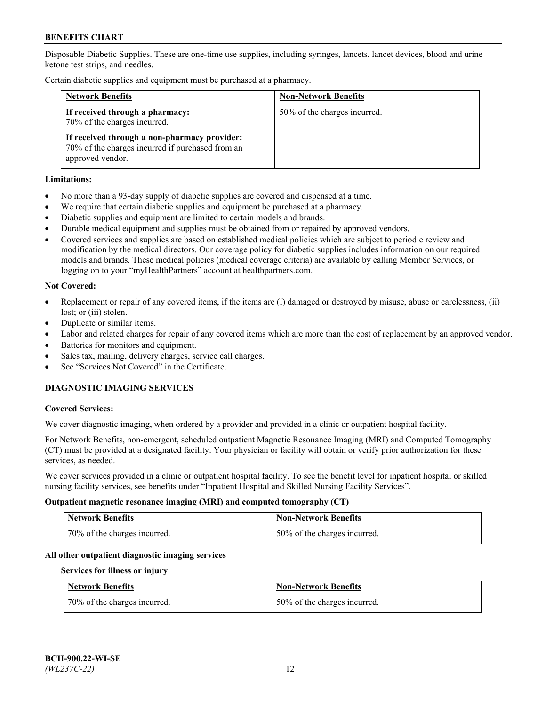Disposable Diabetic Supplies. These are one-time use supplies, including syringes, lancets, lancet devices, blood and urine ketone test strips, and needles.

Certain diabetic supplies and equipment must be purchased at a pharmacy.

| <b>Network Benefits</b>                                                                                              | <b>Non-Network Benefits</b>  |
|----------------------------------------------------------------------------------------------------------------------|------------------------------|
| If received through a pharmacy:<br>70% of the charges incurred.                                                      | 50% of the charges incurred. |
| If received through a non-pharmacy provider:<br>70% of the charges incurred if purchased from an<br>approved vendor. |                              |

### **Limitations:**

- No more than a 93-day supply of diabetic supplies are covered and dispensed at a time.
- We require that certain diabetic supplies and equipment be purchased at a pharmacy.
- Diabetic supplies and equipment are limited to certain models and brands.
- Durable medical equipment and supplies must be obtained from or repaired by approved vendors.
- Covered services and supplies are based on established medical policies which are subject to periodic review and modification by the medical directors. Our coverage policy for diabetic supplies includes information on our required models and brands. These medical policies (medical coverage criteria) are available by calling Member Services, or logging on to your "myHealthPartners" account at [healthpartners.com.](http://www.healthpartners.com/)

### **Not Covered:**

- Replacement or repair of any covered items, if the items are (i) damaged or destroyed by misuse, abuse or carelessness, (ii) lost; or (iii) stolen.
- Duplicate or similar items.
- Labor and related charges for repair of any covered items which are more than the cost of replacement by an approved vendor.
- Batteries for monitors and equipment.
- Sales tax, mailing, delivery charges, service call charges.
- See "Services Not Covered" in the Certificate.

# **DIAGNOSTIC IMAGING SERVICES**

#### **Covered Services:**

We cover diagnostic imaging, when ordered by a provider and provided in a clinic or outpatient hospital facility.

For Network Benefits, non-emergent, scheduled outpatient Magnetic Resonance Imaging (MRI) and Computed Tomography (CT) must be provided at a designated facility. Your physician or facility will obtain or verify prior authorization for these services, as needed.

We cover services provided in a clinic or outpatient hospital facility. To see the benefit level for inpatient hospital or skilled nursing facility services, see benefits under "Inpatient Hospital and Skilled Nursing Facility Services".

#### **Outpatient magnetic resonance imaging (MRI) and computed tomography (CT)**

| <b>Network Benefits</b>      | Non-Network Benefits         |
|------------------------------|------------------------------|
| 70% of the charges incurred. | 50% of the charges incurred. |

### **All other outpatient diagnostic imaging services**

#### **Services for illness or injury**

| <b>Network Benefits</b>      | <b>Non-Network Benefits</b>  |
|------------------------------|------------------------------|
| 70% of the charges incurred. | 50% of the charges incurred. |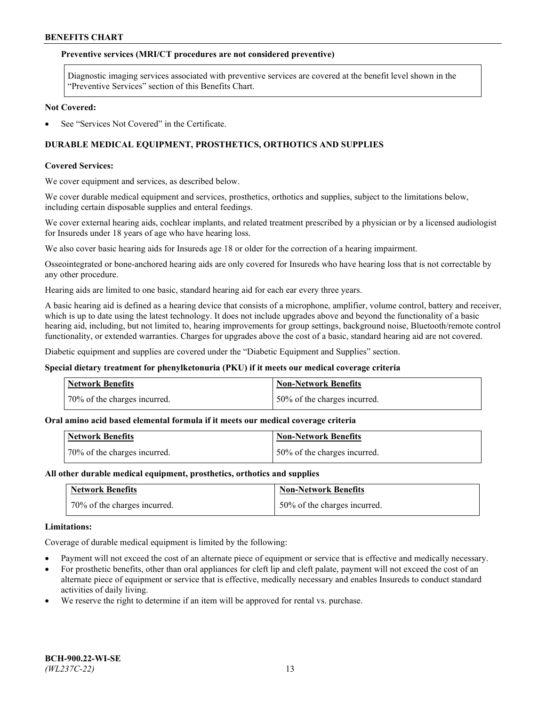### **Preventive services (MRI/CT procedures are not considered preventive)**

Diagnostic imaging services associated with preventive services are covered at the benefit level shown in the "Preventive Services" section of this Benefits Chart.

#### **Not Covered:**

See "Services Not Covered" in the Certificate.

# **DURABLE MEDICAL EQUIPMENT, PROSTHETICS, ORTHOTICS AND SUPPLIES**

### **Covered Services:**

We cover equipment and services, as described below.

We cover durable medical equipment and services, prosthetics, orthotics and supplies, subject to the limitations below, including certain disposable supplies and enteral feedings.

We cover external hearing aids, cochlear implants, and related treatment prescribed by a physician or by a licensed audiologist for Insureds under 18 years of age who have hearing loss.

We also cover basic hearing aids for Insureds age 18 or older for the correction of a hearing impairment.

Osseointegrated or bone-anchored hearing aids are only covered for Insureds who have hearing loss that is not correctable by any other procedure.

Hearing aids are limited to one basic, standard hearing aid for each ear every three years.

A basic hearing aid is defined as a hearing device that consists of a microphone, amplifier, volume control, battery and receiver, which is up to date using the latest technology. It does not include upgrades above and beyond the functionality of a basic hearing aid, including, but not limited to, hearing improvements for group settings, background noise, Bluetooth/remote control functionality, or extended warranties. Charges for upgrades above the cost of a basic, standard hearing aid are not covered.

Diabetic equipment and supplies are covered under the "Diabetic Equipment and Supplies" section.

#### **Special dietary treatment for phenylketonuria (PKU) if it meets our medical coverage criteria**

| <b>Network Benefits</b>      | <b>Non-Network Benefits</b>  |
|------------------------------|------------------------------|
| 70% of the charges incurred. | 50% of the charges incurred. |

### **Oral amino acid based elemental formula if it meets our medical coverage criteria**

| <b>Network Benefits</b>      | Non-Network Benefits         |
|------------------------------|------------------------------|
| 70% of the charges incurred. | 50% of the charges incurred. |

#### **All other durable medical equipment, prosthetics, orthotics and supplies**

| <b>Network Benefits</b>      | <b>Non-Network Benefits</b>  |
|------------------------------|------------------------------|
| 70% of the charges incurred. | 50% of the charges incurred. |

#### **Limitations:**

Coverage of durable medical equipment is limited by the following:

- Payment will not exceed the cost of an alternate piece of equipment or service that is effective and medically necessary.
- For prosthetic benefits, other than oral appliances for cleft lip and cleft palate, payment will not exceed the cost of an alternate piece of equipment or service that is effective, medically necessary and enables Insureds to conduct standard activities of daily living.
- We reserve the right to determine if an item will be approved for rental vs. purchase.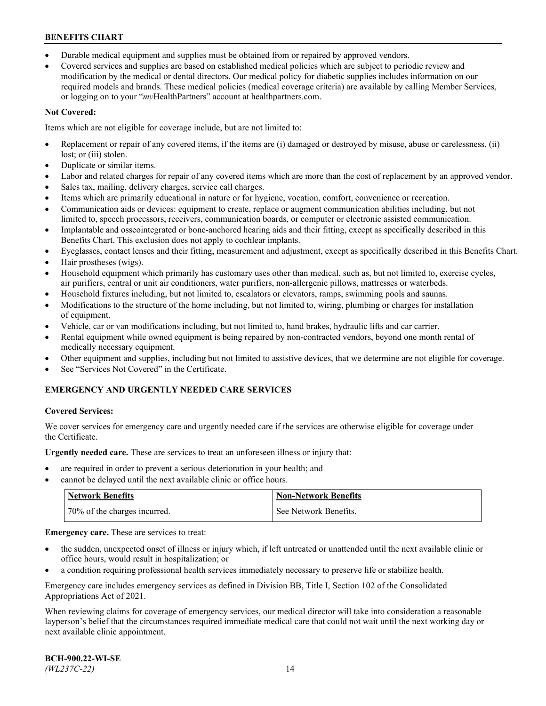- Durable medical equipment and supplies must be obtained from or repaired by approved vendors.
- Covered services and supplies are based on established medical policies which are subject to periodic review and modification by the medical or dental directors. Our medical policy for diabetic supplies includes information on our required models and brands. These medical policies (medical coverage criteria) are available by calling Member Services, or logging on to your "*my*HealthPartners" account a[t healthpartners.com.](http://www.healthpartners.com/)

# **Not Covered:**

Items which are not eligible for coverage include, but are not limited to:

- Replacement or repair of any covered items, if the items are (i) damaged or destroyed by misuse, abuse or carelessness, (ii) lost; or (iii) stolen.
- Duplicate or similar items.
- Labor and related charges for repair of any covered items which are more than the cost of replacement by an approved vendor.
- Sales tax, mailing, delivery charges, service call charges.
- Items which are primarily educational in nature or for hygiene, vocation, comfort, convenience or recreation.
- Communication aids or devices: equipment to create, replace or augment communication abilities including, but not limited to, speech processors, receivers, communication boards, or computer or electronic assisted communication.
- Implantable and osseointegrated or bone-anchored hearing aids and their fitting, except as specifically described in this Benefits Chart. This exclusion does not apply to cochlear implants.
- Eyeglasses, contact lenses and their fitting, measurement and adjustment, except as specifically described in this Benefits Chart.
- Hair prostheses (wigs).
- Household equipment which primarily has customary uses other than medical, such as, but not limited to, exercise cycles, air purifiers, central or unit air conditioners, water purifiers, non-allergenic pillows, mattresses or waterbeds.
- Household fixtures including, but not limited to, escalators or elevators, ramps, swimming pools and saunas.
- Modifications to the structure of the home including, but not limited to, wiring, plumbing or charges for installation of equipment.
- Vehicle, car or van modifications including, but not limited to, hand brakes, hydraulic lifts and car carrier.
- Rental equipment while owned equipment is being repaired by non-contracted vendors, beyond one month rental of medically necessary equipment.
- Other equipment and supplies, including but not limited to assistive devices, that we determine are not eligible for coverage.
- See "Services Not Covered" in the Certificate.

# **EMERGENCY AND URGENTLY NEEDED CARE SERVICES**

### **Covered Services:**

We cover services for emergency care and urgently needed care if the services are otherwise eligible for coverage under the Certificate.

**Urgently needed care.** These are services to treat an unforeseen illness or injury that:

- are required in order to prevent a serious deterioration in your health; and
- cannot be delayed until the next available clinic or office hours.

| <b>Network Benefits</b>      | <b>Non-Network Benefits</b> |
|------------------------------|-----------------------------|
| 70% of the charges incurred. | See Network Benefits.       |

**Emergency care.** These are services to treat:

- the sudden, unexpected onset of illness or injury which, if left untreated or unattended until the next available clinic or office hours, would result in hospitalization; or
- a condition requiring professional health services immediately necessary to preserve life or stabilize health.

Emergency care includes emergency services as defined in Division BB, Title I, Section 102 of the Consolidated Appropriations Act of 2021.

When reviewing claims for coverage of emergency services, our medical director will take into consideration a reasonable layperson's belief that the circumstances required immediate medical care that could not wait until the next working day or next available clinic appointment.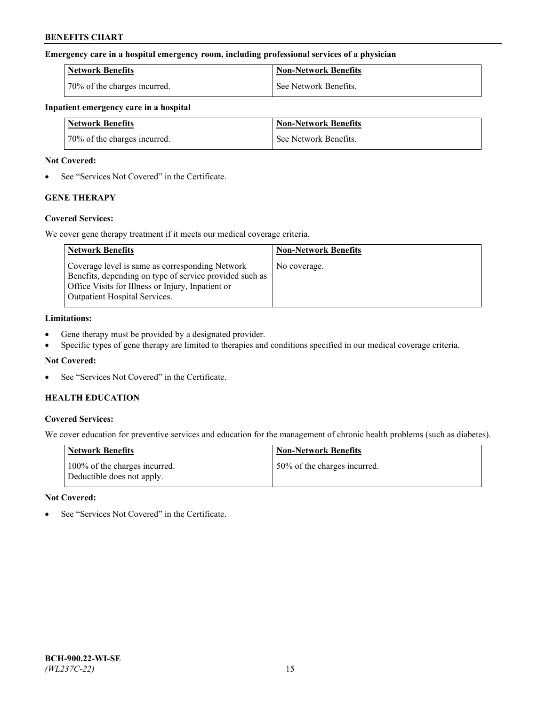### **Emergency care in a hospital emergency room, including professional services of a physician**

| <b>Network Benefits</b>      | <b>Non-Network Benefits</b> |
|------------------------------|-----------------------------|
| 70% of the charges incurred. | See Network Benefits.       |

### **Inpatient emergency care in a hospital**

| <b>Network Benefits</b>      | Non-Network Benefits  |
|------------------------------|-----------------------|
| 70% of the charges incurred. | See Network Benefits. |

### **Not Covered:**

• See "Services Not Covered" in the Certificate.

# **GENE THERAPY**

### **Covered Services:**

We cover gene therapy treatment if it meets our medical coverage criteria.

| <b>Network Benefits</b>                                                                                                                                                                          | <b>Non-Network Benefits</b> |
|--------------------------------------------------------------------------------------------------------------------------------------------------------------------------------------------------|-----------------------------|
| Coverage level is same as corresponding Network<br>Benefits, depending on type of service provided such as<br>Office Visits for Illness or Injury, Inpatient or<br>Outpatient Hospital Services. | No coverage.                |

### **Limitations:**

- Gene therapy must be provided by a designated provider.
- Specific types of gene therapy are limited to therapies and conditions specified in our medical coverage criteria.

## **Not Covered:**

See "Services Not Covered" in the Certificate.

## **HEALTH EDUCATION**

### **Covered Services:**

We cover education for preventive services and education for the management of chronic health problems (such as diabetes).

| <b>Network Benefits</b>                                     | <b>Non-Network Benefits</b>  |
|-------------------------------------------------------------|------------------------------|
| 100% of the charges incurred.<br>Deductible does not apply. | 50% of the charges incurred. |

#### **Not Covered:**

See "Services Not Covered" in the Certificate.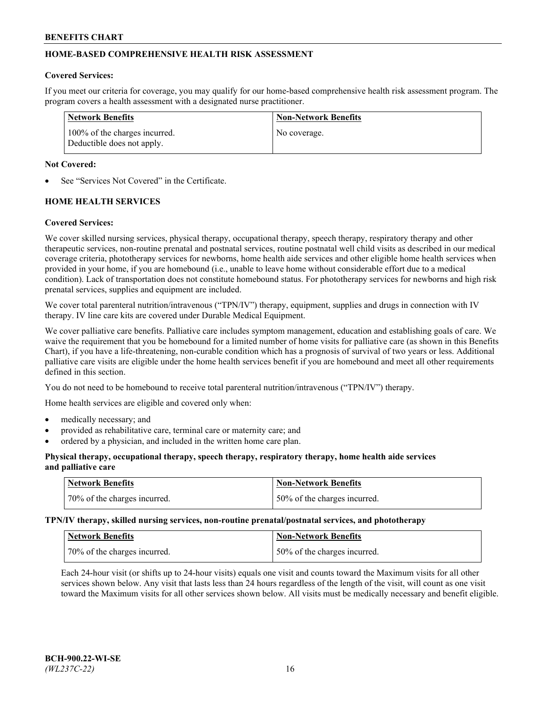# **HOME-BASED COMPREHENSIVE HEALTH RISK ASSESSMENT**

### **Covered Services:**

If you meet our criteria for coverage, you may qualify for our home-based comprehensive health risk assessment program. The program covers a health assessment with a designated nurse practitioner.

| Network Benefits                                            | <b>Non-Network Benefits</b> |
|-------------------------------------------------------------|-----------------------------|
| 100% of the charges incurred.<br>Deductible does not apply. | No coverage.                |

### **Not Covered:**

See "Services Not Covered" in the Certificate.

# **HOME HEALTH SERVICES**

### **Covered Services:**

We cover skilled nursing services, physical therapy, occupational therapy, speech therapy, respiratory therapy and other therapeutic services, non-routine prenatal and postnatal services, routine postnatal well child visits as described in our medical coverage criteria, phototherapy services for newborns, home health aide services and other eligible home health services when provided in your home, if you are homebound (i.e., unable to leave home without considerable effort due to a medical condition). Lack of transportation does not constitute homebound status. For phototherapy services for newborns and high risk prenatal services, supplies and equipment are included.

We cover total parenteral nutrition/intravenous ("TPN/IV") therapy, equipment, supplies and drugs in connection with IV therapy. IV line care kits are covered under Durable Medical Equipment.

We cover palliative care benefits. Palliative care includes symptom management, education and establishing goals of care. We waive the requirement that you be homebound for a limited number of home visits for palliative care (as shown in this Benefits Chart), if you have a life-threatening, non-curable condition which has a prognosis of survival of two years or less. Additional palliative care visits are eligible under the home health services benefit if you are homebound and meet all other requirements defined in this section.

You do not need to be homebound to receive total parenteral nutrition/intravenous ("TPN/IV") therapy.

Home health services are eligible and covered only when:

- medically necessary; and
- provided as rehabilitative care, terminal care or maternity care; and
- ordered by a physician, and included in the written home care plan.

### **Physical therapy, occupational therapy, speech therapy, respiratory therapy, home health aide services and palliative care**

| Network Benefits             | <b>Non-Network Benefits</b>  |
|------------------------------|------------------------------|
| 70% of the charges incurred. | 50% of the charges incurred. |

**TPN/IV therapy, skilled nursing services, non-routine prenatal/postnatal services, and phototherapy**

| <b>Network Benefits</b>      | Non-Network Benefits         |
|------------------------------|------------------------------|
| 70% of the charges incurred. | 50% of the charges incurred. |

Each 24-hour visit (or shifts up to 24-hour visits) equals one visit and counts toward the Maximum visits for all other services shown below. Any visit that lasts less than 24 hours regardless of the length of the visit, will count as one visit toward the Maximum visits for all other services shown below. All visits must be medically necessary and benefit eligible.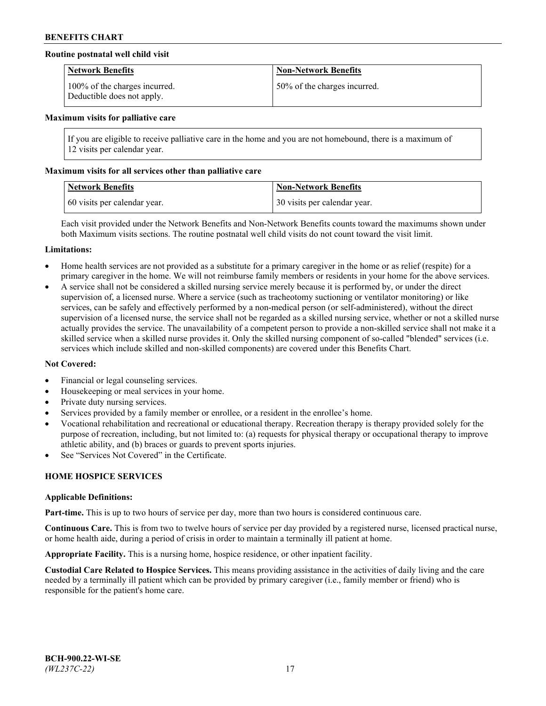### **Routine postnatal well child visit**

| <b>Network Benefits</b>                                     | <b>Non-Network Benefits</b>  |
|-------------------------------------------------------------|------------------------------|
| 100% of the charges incurred.<br>Deductible does not apply. | 50% of the charges incurred. |

#### **Maximum visits for palliative care**

If you are eligible to receive palliative care in the home and you are not homebound, there is a maximum of 12 visits per calendar year.

### **Maximum visits for all services other than palliative care**

| <b>Network Benefits</b>      | <b>Non-Network Benefits</b>  |
|------------------------------|------------------------------|
| 60 visits per calendar year. | 30 visits per calendar year. |

Each visit provided under the Network Benefits and Non-Network Benefits counts toward the maximums shown under both Maximum visits sections. The routine postnatal well child visits do not count toward the visit limit.

#### **Limitations:**

- Home health services are not provided as a substitute for a primary caregiver in the home or as relief (respite) for a primary caregiver in the home. We will not reimburse family members or residents in your home for the above services.
- A service shall not be considered a skilled nursing service merely because it is performed by, or under the direct supervision of, a licensed nurse. Where a service (such as tracheotomy suctioning or ventilator monitoring) or like services, can be safely and effectively performed by a non-medical person (or self-administered), without the direct supervision of a licensed nurse, the service shall not be regarded as a skilled nursing service, whether or not a skilled nurse actually provides the service. The unavailability of a competent person to provide a non-skilled service shall not make it a skilled service when a skilled nurse provides it. Only the skilled nursing component of so-called "blended" services (i.e. services which include skilled and non-skilled components) are covered under this Benefits Chart.

#### **Not Covered:**

- Financial or legal counseling services.
- Housekeeping or meal services in your home.
- Private duty nursing services.
- Services provided by a family member or enrollee, or a resident in the enrollee's home.
- Vocational rehabilitation and recreational or educational therapy. Recreation therapy is therapy provided solely for the purpose of recreation, including, but not limited to: (a) requests for physical therapy or occupational therapy to improve athletic ability, and (b) braces or guards to prevent sports injuries.
- See "Services Not Covered" in the Certificate.

# **HOME HOSPICE SERVICES**

#### **Applicable Definitions:**

**Part-time.** This is up to two hours of service per day, more than two hours is considered continuous care.

**Continuous Care.** This is from two to twelve hours of service per day provided by a registered nurse, licensed practical nurse, or home health aide, during a period of crisis in order to maintain a terminally ill patient at home.

**Appropriate Facility.** This is a nursing home, hospice residence, or other inpatient facility.

**Custodial Care Related to Hospice Services.** This means providing assistance in the activities of daily living and the care needed by a terminally ill patient which can be provided by primary caregiver (i.e., family member or friend) who is responsible for the patient's home care.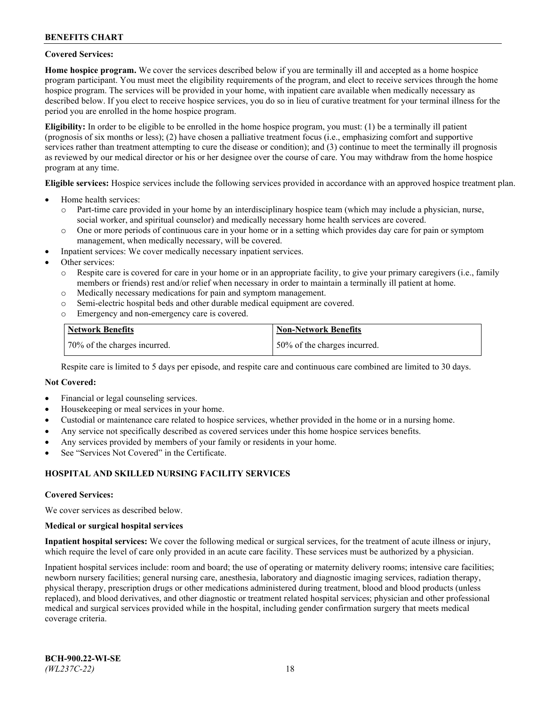### **Covered Services:**

**Home hospice program.** We cover the services described below if you are terminally ill and accepted as a home hospice program participant. You must meet the eligibility requirements of the program, and elect to receive services through the home hospice program. The services will be provided in your home, with inpatient care available when medically necessary as described below. If you elect to receive hospice services, you do so in lieu of curative treatment for your terminal illness for the period you are enrolled in the home hospice program.

**Eligibility:** In order to be eligible to be enrolled in the home hospice program, you must: (1) be a terminally ill patient (prognosis of six months or less); (2) have chosen a palliative treatment focus (i.e., emphasizing comfort and supportive services rather than treatment attempting to cure the disease or condition); and (3) continue to meet the terminally ill prognosis as reviewed by our medical director or his or her designee over the course of care. You may withdraw from the home hospice program at any time.

**Eligible services:** Hospice services include the following services provided in accordance with an approved hospice treatment plan.

- Home health services:
	- o Part-time care provided in your home by an interdisciplinary hospice team (which may include a physician, nurse, social worker, and spiritual counselor) and medically necessary home health services are covered.
	- o One or more periods of continuous care in your home or in a setting which provides day care for pain or symptom management, when medically necessary, will be covered.
- Inpatient services: We cover medically necessary inpatient services.
- Other services:
	- o Respite care is covered for care in your home or in an appropriate facility, to give your primary caregivers (i.e., family members or friends) rest and/or relief when necessary in order to maintain a terminally ill patient at home.
	- o Medically necessary medications for pain and symptom management.
	- o Semi-electric hospital beds and other durable medical equipment are covered.
	- Emergency and non-emergency care is covered.

| Network Benefits             | <b>Non-Network Benefits</b>  |
|------------------------------|------------------------------|
| 70% of the charges incurred. | 50% of the charges incurred. |

Respite care is limited to 5 days per episode, and respite care and continuous care combined are limited to 30 days.

### **Not Covered:**

- Financial or legal counseling services.
- Housekeeping or meal services in your home.
- Custodial or maintenance care related to hospice services, whether provided in the home or in a nursing home.
- Any service not specifically described as covered services under this home hospice services benefits.
- Any services provided by members of your family or residents in your home.
- See "Services Not Covered" in the Certificate.

### **HOSPITAL AND SKILLED NURSING FACILITY SERVICES**

#### **Covered Services:**

We cover services as described below.

#### **Medical or surgical hospital services**

**Inpatient hospital services:** We cover the following medical or surgical services, for the treatment of acute illness or injury, which require the level of care only provided in an acute care facility. These services must be authorized by a physician.

Inpatient hospital services include: room and board; the use of operating or maternity delivery rooms; intensive care facilities; newborn nursery facilities; general nursing care, anesthesia, laboratory and diagnostic imaging services, radiation therapy, physical therapy, prescription drugs or other medications administered during treatment, blood and blood products (unless replaced), and blood derivatives, and other diagnostic or treatment related hospital services; physician and other professional medical and surgical services provided while in the hospital, including gender confirmation surgery that meets medical coverage criteria.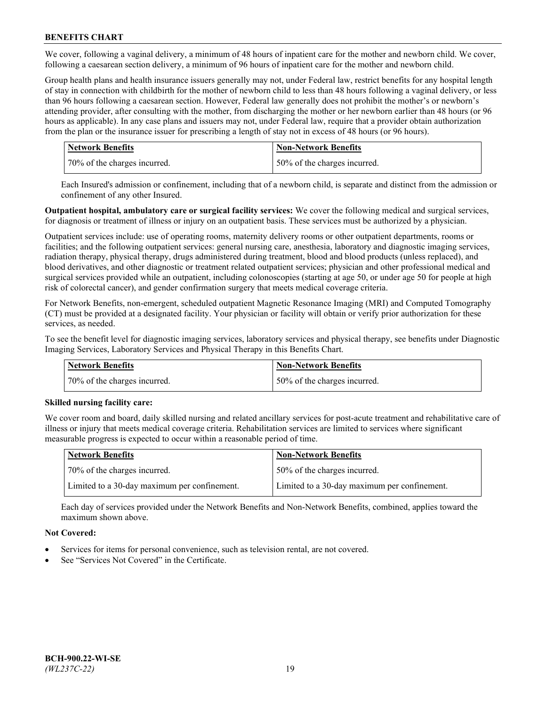We cover, following a vaginal delivery, a minimum of 48 hours of inpatient care for the mother and newborn child. We cover, following a caesarean section delivery, a minimum of 96 hours of inpatient care for the mother and newborn child.

Group health plans and health insurance issuers generally may not, under Federal law, restrict benefits for any hospital length of stay in connection with childbirth for the mother of newborn child to less than 48 hours following a vaginal delivery, or less than 96 hours following a caesarean section. However, Federal law generally does not prohibit the mother's or newborn's attending provider, after consulting with the mother, from discharging the mother or her newborn earlier than 48 hours (or 96 hours as applicable). In any case plans and issuers may not, under Federal law, require that a provider obtain authorization from the plan or the insurance issuer for prescribing a length of stay not in excess of 48 hours (or 96 hours).

| <b>Network Benefits</b>      | <b>Non-Network Benefits</b>  |
|------------------------------|------------------------------|
| 70% of the charges incurred. | 50% of the charges incurred. |

Each Insured's admission or confinement, including that of a newborn child, is separate and distinct from the admission or confinement of any other Insured.

**Outpatient hospital, ambulatory care or surgical facility services:** We cover the following medical and surgical services, for diagnosis or treatment of illness or injury on an outpatient basis. These services must be authorized by a physician.

Outpatient services include: use of operating rooms, maternity delivery rooms or other outpatient departments, rooms or facilities; and the following outpatient services: general nursing care, anesthesia, laboratory and diagnostic imaging services, radiation therapy, physical therapy, drugs administered during treatment, blood and blood products (unless replaced), and blood derivatives, and other diagnostic or treatment related outpatient services; physician and other professional medical and surgical services provided while an outpatient, including colonoscopies (starting at age 50, or under age 50 for people at high risk of colorectal cancer), and gender confirmation surgery that meets medical coverage criteria.

For Network Benefits, non-emergent, scheduled outpatient Magnetic Resonance Imaging (MRI) and Computed Tomography (CT) must be provided at a designated facility. Your physician or facility will obtain or verify prior authorization for these services, as needed.

To see the benefit level for diagnostic imaging services, laboratory services and physical therapy, see benefits under Diagnostic Imaging Services, Laboratory Services and Physical Therapy in this Benefits Chart.

| <b>Network Benefits</b>      | <b>Non-Network Benefits</b>  |
|------------------------------|------------------------------|
| 70% of the charges incurred. | 50% of the charges incurred. |

### **Skilled nursing facility care:**

We cover room and board, daily skilled nursing and related ancillary services for post-acute treatment and rehabilitative care of illness or injury that meets medical coverage criteria. Rehabilitation services are limited to services where significant measurable progress is expected to occur within a reasonable period of time.

| Network Benefits                             | <b>Non-Network Benefits</b>                  |
|----------------------------------------------|----------------------------------------------|
| 70% of the charges incurred.                 | 50% of the charges incurred.                 |
| Limited to a 30-day maximum per confinement. | Limited to a 30-day maximum per confinement. |

Each day of services provided under the Network Benefits and Non-Network Benefits, combined, applies toward the maximum shown above.

### **Not Covered:**

- Services for items for personal convenience, such as television rental, are not covered.
- See "Services Not Covered" in the Certificate.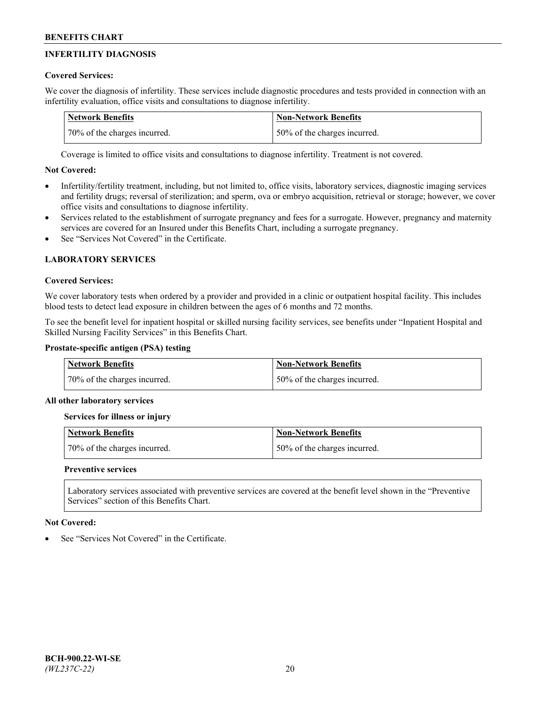# **INFERTILITY DIAGNOSIS**

## **Covered Services:**

We cover the diagnosis of infertility. These services include diagnostic procedures and tests provided in connection with an infertility evaluation, office visits and consultations to diagnose infertility.

| <b>Network Benefits</b>      | <b>Non-Network Benefits</b>  |
|------------------------------|------------------------------|
| 70% of the charges incurred. | 50% of the charges incurred. |

Coverage is limited to office visits and consultations to diagnose infertility. Treatment is not covered.

# **Not Covered:**

- Infertility/fertility treatment, including, but not limited to, office visits, laboratory services, diagnostic imaging services and fertility drugs; reversal of sterilization; and sperm, ova or embryo acquisition, retrieval or storage; however, we cover office visits and consultations to diagnose infertility.
- Services related to the establishment of surrogate pregnancy and fees for a surrogate. However, pregnancy and maternity services are covered for an Insured under this Benefits Chart, including a surrogate pregnancy.
- See "Services Not Covered" in the Certificate

# **LABORATORY SERVICES**

### **Covered Services:**

We cover laboratory tests when ordered by a provider and provided in a clinic or outpatient hospital facility. This includes blood tests to detect lead exposure in children between the ages of 6 months and 72 months.

To see the benefit level for inpatient hospital or skilled nursing facility services, see benefits under "Inpatient Hospital and Skilled Nursing Facility Services" in this Benefits Chart.

## **Prostate-specific antigen (PSA) testing**

| Network Benefits             | <b>Non-Network Benefits</b>  |
|------------------------------|------------------------------|
| 70% of the charges incurred. | 50% of the charges incurred. |

### **All other laboratory services**

**Services for illness or injury**

| <b>Network Benefits</b>      | Non-Network Benefits         |
|------------------------------|------------------------------|
| 70% of the charges incurred. | 50% of the charges incurred. |

### **Preventive services**

Laboratory services associated with preventive services are covered at the benefit level shown in the "Preventive Services" section of this Benefits Chart.

### **Not Covered:**

See "Services Not Covered" in the Certificate.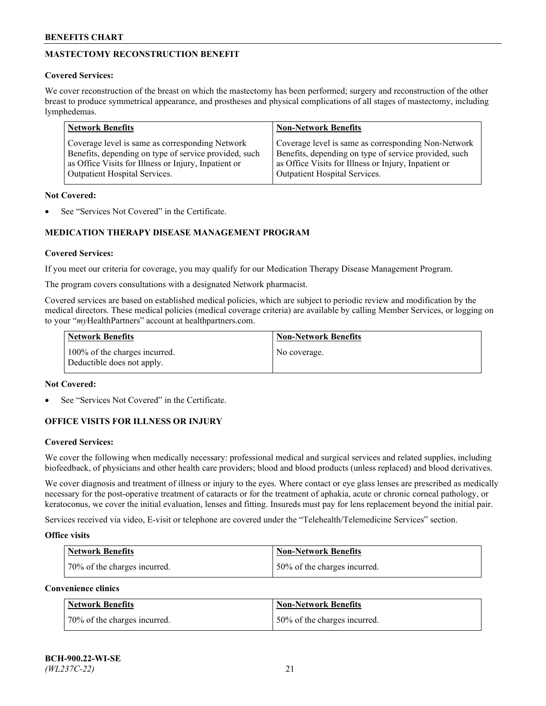# **MASTECTOMY RECONSTRUCTION BENEFIT**

### **Covered Services:**

We cover reconstruction of the breast on which the mastectomy has been performed; surgery and reconstruction of the other breast to produce symmetrical appearance, and prostheses and physical complications of all stages of mastectomy, including lymphedemas.

| <b>Network Benefits</b>                               | <b>Non-Network Benefits</b>                           |
|-------------------------------------------------------|-------------------------------------------------------|
| Coverage level is same as corresponding Network       | Coverage level is same as corresponding Non-Network   |
| Benefits, depending on type of service provided, such | Benefits, depending on type of service provided, such |
| as Office Visits for Illness or Injury, Inpatient or  | as Office Visits for Illness or Injury, Inpatient or  |
| Outpatient Hospital Services.                         | Outpatient Hospital Services.                         |

### **Not Covered:**

See "Services Not Covered" in the Certificate.

# **MEDICATION THERAPY DISEASE MANAGEMENT PROGRAM**

### **Covered Services:**

If you meet our criteria for coverage, you may qualify for our Medication Therapy Disease Management Program.

The program covers consultations with a designated Network pharmacist.

Covered services are based on established medical policies, which are subject to periodic review and modification by the medical directors. These medical policies (medical coverage criteria) are available by calling Member Services, or logging on to your "*my*HealthPartners" account at [healthpartners.com.](http://www.healthpartners.com/)

| Network Benefits                                            | <b>Non-Network Benefits</b> |
|-------------------------------------------------------------|-----------------------------|
| 100% of the charges incurred.<br>Deductible does not apply. | No coverage.                |

### **Not Covered:**

See "Services Not Covered" in the Certificate.

### **OFFICE VISITS FOR ILLNESS OR INJURY**

#### **Covered Services:**

We cover the following when medically necessary: professional medical and surgical services and related supplies, including biofeedback, of physicians and other health care providers; blood and blood products (unless replaced) and blood derivatives.

We cover diagnosis and treatment of illness or injury to the eyes. Where contact or eye glass lenses are prescribed as medically necessary for the post-operative treatment of cataracts or for the treatment of aphakia, acute or chronic corneal pathology, or keratoconus, we cover the initial evaluation, lenses and fitting. Insureds must pay for lens replacement beyond the initial pair.

Services received via video, E-visit or telephone are covered under the "Telehealth/Telemedicine Services" section.

#### **Office visits**

| <b>Network Benefits</b>      | <b>Non-Network Benefits</b>  |
|------------------------------|------------------------------|
| 70% of the charges incurred. | 50% of the charges incurred. |

**Convenience clinics**

| <b>Network Benefits</b>      | <b>Non-Network Benefits</b>   |
|------------------------------|-------------------------------|
| 70% of the charges incurred. | 150% of the charges incurred. |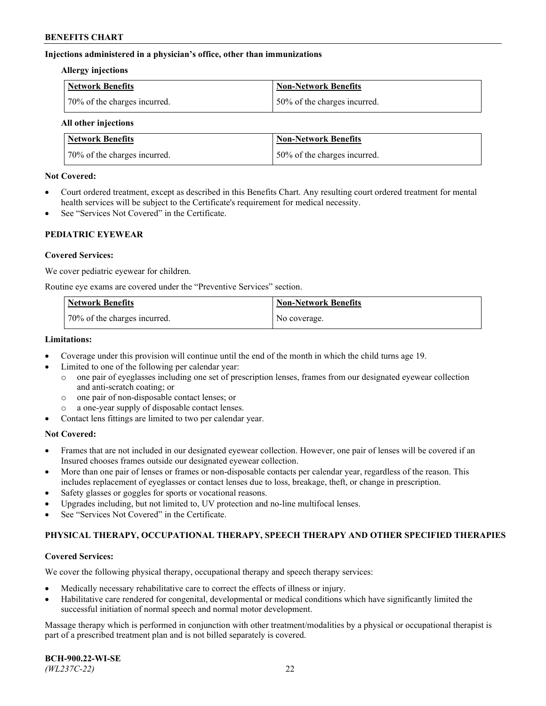### **Injections administered in a physician's office, other than immunizations**

#### **Allergy injections**

| Network Benefits             | Non-Network Benefits         |
|------------------------------|------------------------------|
| 70% of the charges incurred. | 50% of the charges incurred. |

#### **All other injections**

| <b>Network Benefits</b>      | <b>Non-Network Benefits</b>  |
|------------------------------|------------------------------|
| 70% of the charges incurred. | 50% of the charges incurred. |

### **Not Covered:**

- Court ordered treatment, except as described in this Benefits Chart. Any resulting court ordered treatment for mental health services will be subject to the Certificate's requirement for medical necessity.
- See "Services Not Covered" in the Certificate.

### **PEDIATRIC EYEWEAR**

### **Covered Services:**

We cover pediatric eyewear for children.

Routine eye exams are covered under the "Preventive Services" section.

| <b>Network Benefits</b>      | <b>Non-Network Benefits</b> |
|------------------------------|-----------------------------|
| 70% of the charges incurred. | No coverage.                |

### **Limitations:**

- Coverage under this provision will continue until the end of the month in which the child turns age 19.
- Limited to one of the following per calendar year:
	- o one pair of eyeglasses including one set of prescription lenses, frames from our designated eyewear collection and anti-scratch coating; or
	- o one pair of non-disposable contact lenses; or
	- o a one-year supply of disposable contact lenses.
- Contact lens fittings are limited to two per calendar year.

### **Not Covered:**

- Frames that are not included in our designated eyewear collection. However, one pair of lenses will be covered if an Insured chooses frames outside our designated eyewear collection.
- More than one pair of lenses or frames or non-disposable contacts per calendar year, regardless of the reason. This includes replacement of eyeglasses or contact lenses due to loss, breakage, theft, or change in prescription.
- Safety glasses or goggles for sports or vocational reasons.
- Upgrades including, but not limited to, UV protection and no-line multifocal lenses.
- See "Services Not Covered" in the Certificate.

### **PHYSICAL THERAPY, OCCUPATIONAL THERAPY, SPEECH THERAPY AND OTHER SPECIFIED THERAPIES**

#### **Covered Services:**

We cover the following physical therapy, occupational therapy and speech therapy services:

- Medically necessary rehabilitative care to correct the effects of illness or injury.
- Habilitative care rendered for congenital, developmental or medical conditions which have significantly limited the successful initiation of normal speech and normal motor development.

Massage therapy which is performed in conjunction with other treatment/modalities by a physical or occupational therapist is part of a prescribed treatment plan and is not billed separately is covered.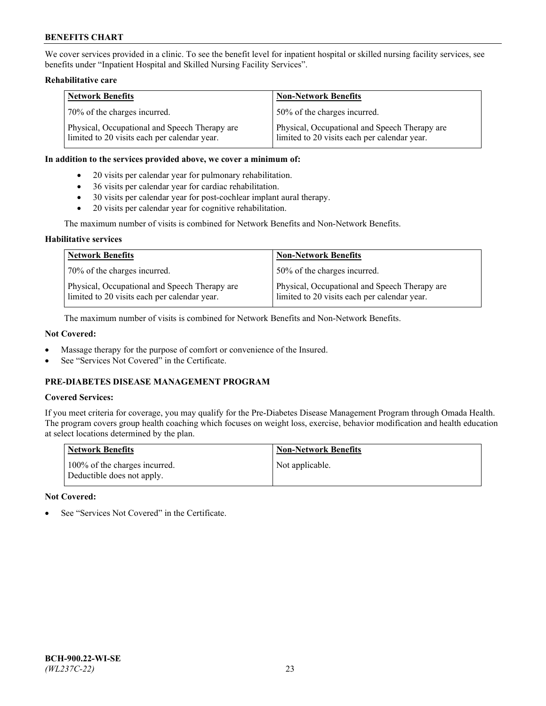We cover services provided in a clinic. To see the benefit level for inpatient hospital or skilled nursing facility services, see benefits under "Inpatient Hospital and Skilled Nursing Facility Services".

### **Rehabilitative care**

| <b>Network Benefits</b>                                                                       | <b>Non-Network Benefits</b>                                                                   |
|-----------------------------------------------------------------------------------------------|-----------------------------------------------------------------------------------------------|
| 70% of the charges incurred.                                                                  | 50% of the charges incurred.                                                                  |
| Physical, Occupational and Speech Therapy are<br>limited to 20 visits each per calendar year. | Physical, Occupational and Speech Therapy are<br>limited to 20 visits each per calendar year. |

#### **In addition to the services provided above, we cover a minimum of:**

- 20 visits per calendar year for pulmonary rehabilitation.
- 36 visits per calendar year for cardiac rehabilitation.
- 30 visits per calendar year for post-cochlear implant aural therapy.
- 20 visits per calendar year for cognitive rehabilitation.

The maximum number of visits is combined for Network Benefits and Non-Network Benefits.

### **Habilitative services**

| <b>Network Benefits</b>                                                                       | <b>Non-Network Benefits</b>                                                                   |
|-----------------------------------------------------------------------------------------------|-----------------------------------------------------------------------------------------------|
| 70% of the charges incurred.                                                                  | 50% of the charges incurred.                                                                  |
| Physical, Occupational and Speech Therapy are<br>limited to 20 visits each per calendar year. | Physical, Occupational and Speech Therapy are<br>limited to 20 visits each per calendar year. |

The maximum number of visits is combined for Network Benefits and Non-Network Benefits.

### **Not Covered:**

- Massage therapy for the purpose of comfort or convenience of the Insured.
- See "Services Not Covered" in the Certificate.

# **PRE-DIABETES DISEASE MANAGEMENT PROGRAM**

### **Covered Services:**

If you meet criteria for coverage, you may qualify for the Pre-Diabetes Disease Management Program through Omada Health. The program covers group health coaching which focuses on weight loss, exercise, behavior modification and health education at select locations determined by the plan.

| <b>Network Benefits</b>                                     | <b>Non-Network Benefits</b> |
|-------------------------------------------------------------|-----------------------------|
| 100% of the charges incurred.<br>Deductible does not apply. | Not applicable.             |

### **Not Covered:**

See "Services Not Covered" in the Certificate.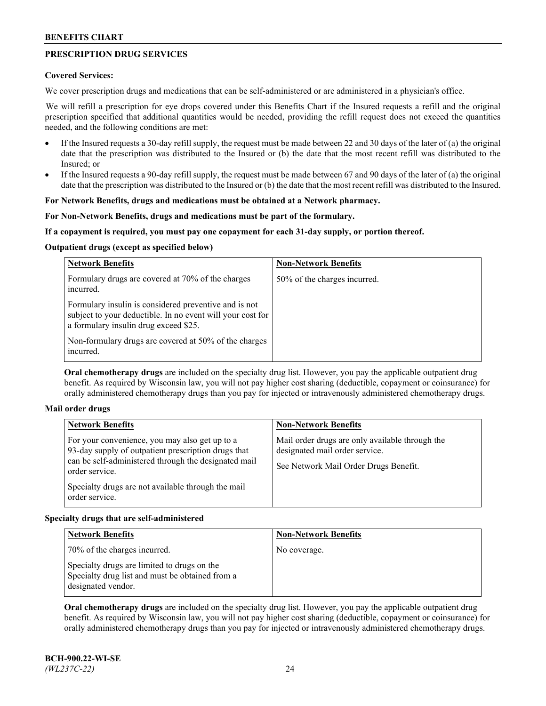# **PRESCRIPTION DRUG SERVICES**

### **Covered Services:**

We cover prescription drugs and medications that can be self-administered or are administered in a physician's office.

We will refill a prescription for eye drops covered under this Benefits Chart if the Insured requests a refill and the original prescription specified that additional quantities would be needed, providing the refill request does not exceed the quantities needed, and the following conditions are met:

- If the Insured requests a 30-day refill supply, the request must be made between 22 and 30 days of the later of (a) the original date that the prescription was distributed to the Insured or (b) the date that the most recent refill was distributed to the Insured; or
- If the Insured requests a 90-day refill supply, the request must be made between 67 and 90 days of the later of (a) the original date that the prescription was distributed to the Insured or (b) the date that the most recent refill was distributed to the Insured.

## **For Network Benefits, drugs and medications must be obtained at a Network pharmacy.**

### **For Non-Network Benefits, drugs and medications must be part of the formulary.**

### **If a copayment is required, you must pay one copayment for each 31-day supply, or portion thereof.**

### **Outpatient drugs (except as specified below)**

| <b>Network Benefits</b>                                                                                                                                      | <b>Non-Network Benefits</b>  |
|--------------------------------------------------------------------------------------------------------------------------------------------------------------|------------------------------|
| Formulary drugs are covered at 70% of the charges<br>incurred.                                                                                               | 50% of the charges incurred. |
| Formulary insulin is considered preventive and is not<br>subject to your deductible. In no event will your cost for<br>a formulary insulin drug exceed \$25. |                              |
| Non-formulary drugs are covered at 50% of the charges<br>incurred.                                                                                           |                              |

**Oral chemotherapy drugs** are included on the specialty drug list. However, you pay the applicable outpatient drug benefit. As required by Wisconsin law, you will not pay higher cost sharing (deductible, copayment or coinsurance) for orally administered chemotherapy drugs than you pay for injected or intravenously administered chemotherapy drugs.

#### **Mail order drugs**

| For your convenience, you may also get up to a                                                                                                                                                        |                                                                                                                            |
|-------------------------------------------------------------------------------------------------------------------------------------------------------------------------------------------------------|----------------------------------------------------------------------------------------------------------------------------|
| 93-day supply of outpatient prescription drugs that<br>can be self-administered through the designated mail<br>order service.<br>Specialty drugs are not available through the mail<br>order service. | Mail order drugs are only available through the<br>designated mail order service.<br>See Network Mail Order Drugs Benefit. |

### **Specialty drugs that are self-administered**

| <b>Network Benefits</b>                                                                                              | <b>Non-Network Benefits</b> |
|----------------------------------------------------------------------------------------------------------------------|-----------------------------|
| 70% of the charges incurred.                                                                                         | No coverage.                |
| Specialty drugs are limited to drugs on the<br>Specialty drug list and must be obtained from a<br>designated vendor. |                             |

**Oral chemotherapy drugs** are included on the specialty drug list. However, you pay the applicable outpatient drug benefit. As required by Wisconsin law, you will not pay higher cost sharing (deductible, copayment or coinsurance) for orally administered chemotherapy drugs than you pay for injected or intravenously administered chemotherapy drugs.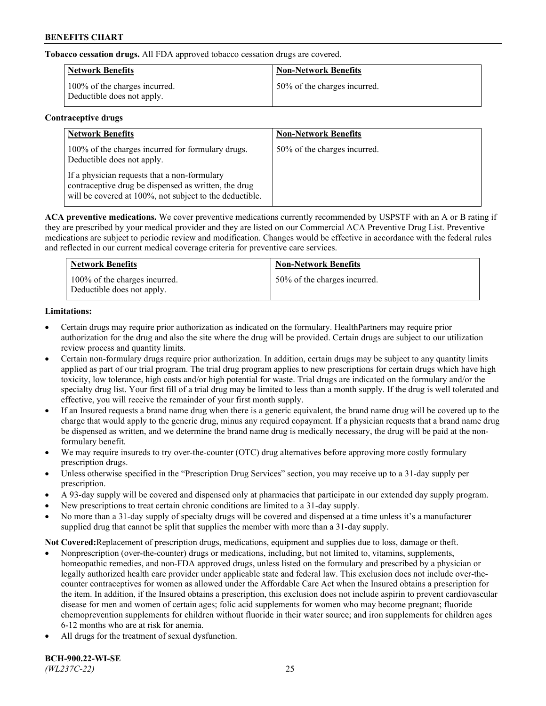**Tobacco cessation drugs.** All FDA approved tobacco cessation drugs are covered.

| <b>Network Benefits</b>                                     | <b>Non-Network Benefits</b>  |
|-------------------------------------------------------------|------------------------------|
| 100% of the charges incurred.<br>Deductible does not apply. | 50% of the charges incurred. |

## **Contraceptive drugs**

| <b>Network Benefits</b>                                                                                                                                         | <b>Non-Network Benefits</b>  |
|-----------------------------------------------------------------------------------------------------------------------------------------------------------------|------------------------------|
| 100% of the charges incurred for formulary drugs.<br>Deductible does not apply.                                                                                 | 50% of the charges incurred. |
| If a physician requests that a non-formulary<br>contraceptive drug be dispensed as written, the drug<br>will be covered at 100%, not subject to the deductible. |                              |

**ACA preventive medications.** We cover preventive medications currently recommended by USPSTF with an A or B rating if they are prescribed by your medical provider and they are listed on our Commercial ACA Preventive Drug List. Preventive medications are subject to periodic review and modification. Changes would be effective in accordance with the federal rules and reflected in our current medical coverage criteria for preventive care services.

| <b>Network Benefits</b>                                     | <b>Non-Network Benefits</b>  |
|-------------------------------------------------------------|------------------------------|
| 100% of the charges incurred.<br>Deductible does not apply. | 50% of the charges incurred. |

# **Limitations:**

- Certain drugs may require prior authorization as indicated on the formulary. HealthPartners may require prior authorization for the drug and also the site where the drug will be provided. Certain drugs are subject to our utilization review process and quantity limits.
- Certain non-formulary drugs require prior authorization. In addition, certain drugs may be subject to any quantity limits applied as part of our trial program. The trial drug program applies to new prescriptions for certain drugs which have high toxicity, low tolerance, high costs and/or high potential for waste. Trial drugs are indicated on the formulary and/or the specialty drug list. Your first fill of a trial drug may be limited to less than a month supply. If the drug is well tolerated and effective, you will receive the remainder of your first month supply.
- If an Insured requests a brand name drug when there is a generic equivalent, the brand name drug will be covered up to the charge that would apply to the generic drug, minus any required copayment. If a physician requests that a brand name drug be dispensed as written, and we determine the brand name drug is medically necessary, the drug will be paid at the nonformulary benefit.
- We may require insureds to try over-the-counter (OTC) drug alternatives before approving more costly formulary prescription drugs.
- Unless otherwise specified in the "Prescription Drug Services" section, you may receive up to a 31-day supply per prescription.
- A 93-day supply will be covered and dispensed only at pharmacies that participate in our extended day supply program.
- New prescriptions to treat certain chronic conditions are limited to a 31-day supply.
- No more than a 31-day supply of specialty drugs will be covered and dispensed at a time unless it's a manufacturer supplied drug that cannot be split that supplies the member with more than a 31-day supply.

**Not Covered:**Replacement of prescription drugs, medications, equipment and supplies due to loss, damage or theft.

- Nonprescription (over-the-counter) drugs or medications, including, but not limited to, vitamins, supplements, homeopathic remedies, and non-FDA approved drugs, unless listed on the formulary and prescribed by a physician or legally authorized health care provider under applicable state and federal law. This exclusion does not include over-thecounter contraceptives for women as allowed under the Affordable Care Act when the Insured obtains a prescription for the item. In addition, if the Insured obtains a prescription, this exclusion does not include aspirin to prevent cardiovascular disease for men and women of certain ages; folic acid supplements for women who may become pregnant; fluoride chemoprevention supplements for children without fluoride in their water source; and iron supplements for children ages 6-12 months who are at risk for anemia.
- All drugs for the treatment of sexual dysfunction.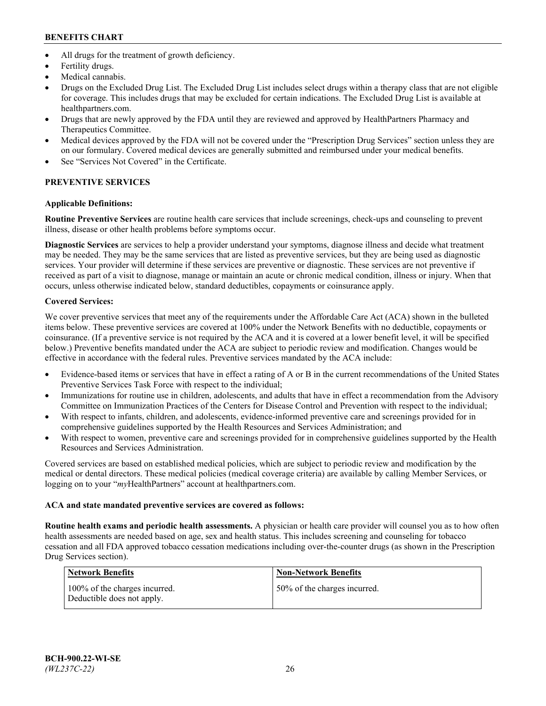- All drugs for the treatment of growth deficiency.
- Fertility drugs.
- Medical cannabis.
- Drugs on the Excluded Drug List. The Excluded Drug List includes select drugs within a therapy class that are not eligible for coverage. This includes drugs that may be excluded for certain indications. The Excluded Drug List is available at [healthpartners.com.](http://www.healthpartners.com/)
- Drugs that are newly approved by the FDA until they are reviewed and approved by HealthPartners Pharmacy and Therapeutics Committee.
- Medical devices approved by the FDA will not be covered under the "Prescription Drug Services" section unless they are on our formulary. Covered medical devices are generally submitted and reimbursed under your medical benefits.
- See "Services Not Covered" in the Certificate.

# **PREVENTIVE SERVICES**

# **Applicable Definitions:**

**Routine Preventive Services** are routine health care services that include screenings, check-ups and counseling to prevent illness, disease or other health problems before symptoms occur.

**Diagnostic Services** are services to help a provider understand your symptoms, diagnose illness and decide what treatment may be needed. They may be the same services that are listed as preventive services, but they are being used as diagnostic services. Your provider will determine if these services are preventive or diagnostic. These services are not preventive if received as part of a visit to diagnose, manage or maintain an acute or chronic medical condition, illness or injury. When that occurs, unless otherwise indicated below, standard deductibles, copayments or coinsurance apply.

# **Covered Services:**

We cover preventive services that meet any of the requirements under the Affordable Care Act (ACA) shown in the bulleted items below. These preventive services are covered at 100% under the Network Benefits with no deductible, copayments or coinsurance. (If a preventive service is not required by the ACA and it is covered at a lower benefit level, it will be specified below.) Preventive benefits mandated under the ACA are subject to periodic review and modification. Changes would be effective in accordance with the federal rules. Preventive services mandated by the ACA include:

- Evidence-based items or services that have in effect a rating of A or B in the current recommendations of the United States Preventive Services Task Force with respect to the individual;
- Immunizations for routine use in children, adolescents, and adults that have in effect a recommendation from the Advisory Committee on Immunization Practices of the Centers for Disease Control and Prevention with respect to the individual;
- With respect to infants, children, and adolescents, evidence-informed preventive care and screenings provided for in comprehensive guidelines supported by the Health Resources and Services Administration; and
- With respect to women, preventive care and screenings provided for in comprehensive guidelines supported by the Health Resources and Services Administration.

Covered services are based on established medical policies, which are subject to periodic review and modification by the medical or dental directors. These medical policies (medical coverage criteria) are available by calling Member Services, or logging on to your "*my*HealthPartners" account at [healthpartners.com.](https://www.healthpartners.com/hp/index.html)

# **ACA and state mandated preventive services are covered as follows:**

**Routine health exams and periodic health assessments.** A physician or health care provider will counsel you as to how often health assessments are needed based on age, sex and health status. This includes screening and counseling for tobacco cessation and all FDA approved tobacco cessation medications including over-the-counter drugs (as shown in the Prescription Drug Services section).

| Network Benefits                                            | <b>Non-Network Benefits</b>  |
|-------------------------------------------------------------|------------------------------|
| 100% of the charges incurred.<br>Deductible does not apply. | 50% of the charges incurred. |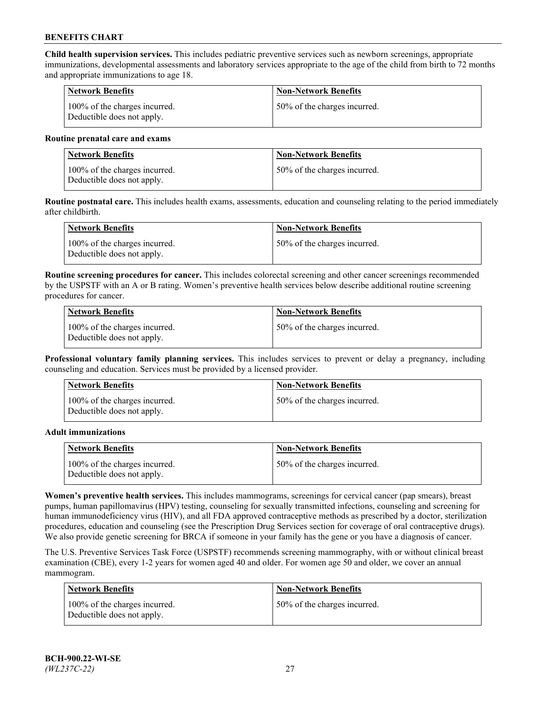**Child health supervision services.** This includes pediatric preventive services such as newborn screenings, appropriate immunizations, developmental assessments and laboratory services appropriate to the age of the child from birth to 72 months and appropriate immunizations to age 18.

| <b>Network Benefits</b>                                     | <b>Non-Network Benefits</b>  |
|-------------------------------------------------------------|------------------------------|
| 100% of the charges incurred.<br>Deductible does not apply. | 50% of the charges incurred. |

#### **Routine prenatal care and exams**

| Network Benefits                                            | <b>Non-Network Benefits</b>  |
|-------------------------------------------------------------|------------------------------|
| 100% of the charges incurred.<br>Deductible does not apply. | 50% of the charges incurred. |

**Routine postnatal care.** This includes health exams, assessments, education and counseling relating to the period immediately after childbirth.

| Network Benefits                                            | <b>Non-Network Benefits</b>  |
|-------------------------------------------------------------|------------------------------|
| 100% of the charges incurred.<br>Deductible does not apply. | 50% of the charges incurred. |

**Routine screening procedures for cancer.** This includes colorectal screening and other cancer screenings recommended by the USPSTF with an A or B rating. Women's preventive health services below describe additional routine screening procedures for cancer.

| <b>Network Benefits</b>                                     | <b>Non-Network Benefits</b>  |
|-------------------------------------------------------------|------------------------------|
| 100% of the charges incurred.<br>Deductible does not apply. | 50% of the charges incurred. |

**Professional voluntary family planning services.** This includes services to prevent or delay a pregnancy, including counseling and education. Services must be provided by a licensed provider.

| <b>Network Benefits</b>                                     | <b>Non-Network Benefits</b>  |
|-------------------------------------------------------------|------------------------------|
| 100% of the charges incurred.<br>Deductible does not apply. | 50% of the charges incurred. |

#### **Adult immunizations**

| <b>Network Benefits</b>                                     | <b>Non-Network Benefits</b>  |
|-------------------------------------------------------------|------------------------------|
| 100% of the charges incurred.<br>Deductible does not apply. | 50% of the charges incurred. |

**Women's preventive health services.** This includes mammograms, screenings for cervical cancer (pap smears), breast pumps, human papillomavirus (HPV) testing, counseling for sexually transmitted infections, counseling and screening for human immunodeficiency virus (HIV), and all FDA approved contraceptive methods as prescribed by a doctor, sterilization procedures, education and counseling (see the Prescription Drug Services section for coverage of oral contraceptive drugs). We also provide genetic screening for BRCA if someone in your family has the gene or you have a diagnosis of cancer.

The U.S. Preventive Services Task Force (USPSTF) recommends screening mammography, with or without clinical breast examination (CBE), every 1-2 years for women aged 40 and older. For women age 50 and older, we cover an annual mammogram.

| <b>Network Benefits</b>                                     | <b>Non-Network Benefits</b>  |
|-------------------------------------------------------------|------------------------------|
| 100% of the charges incurred.<br>Deductible does not apply. | 50% of the charges incurred. |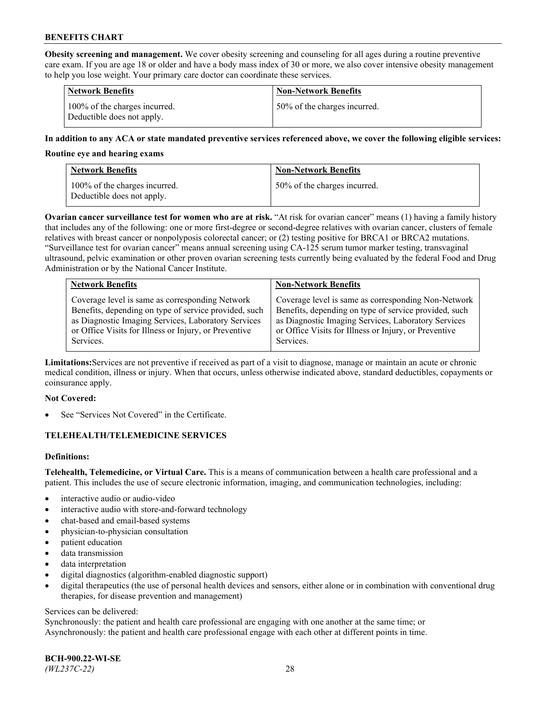**Obesity screening and management.** We cover obesity screening and counseling for all ages during a routine preventive care exam. If you are age 18 or older and have a body mass index of 30 or more, we also cover intensive obesity management to help you lose weight. Your primary care doctor can coordinate these services.

| <b>Network Benefits</b>                                     | <b>Non-Network Benefits</b>  |
|-------------------------------------------------------------|------------------------------|
| 100% of the charges incurred.<br>Deductible does not apply. | 50% of the charges incurred. |

### **In addition to any ACA or state mandated preventive services referenced above, we cover the following eligible services:**

#### **Routine eye and hearing exams**

| <b>Network Benefits</b>                                     | <b>Non-Network Benefits</b>  |
|-------------------------------------------------------------|------------------------------|
| 100% of the charges incurred.<br>Deductible does not apply. | 50% of the charges incurred. |

**Ovarian cancer surveillance test for women who are at risk.** "At risk for ovarian cancer" means (1) having a family history that includes any of the following: one or more first-degree or second-degree relatives with ovarian cancer, clusters of female relatives with breast cancer or nonpolyposis colorectal cancer; or (2) testing positive for BRCA1 or BRCA2 mutations. "Surveillance test for ovarian cancer" means annual screening using CA-125 serum tumor marker testing, transvaginal ultrasound, pelvic examination or other proven ovarian screening tests currently being evaluated by the federal Food and Drug Administration or by the National Cancer Institute.

| <b>Network Benefits</b>                               | <b>Non-Network Benefits</b>                           |
|-------------------------------------------------------|-------------------------------------------------------|
| Coverage level is same as corresponding Network       | Coverage level is same as corresponding Non-Network   |
| Benefits, depending on type of service provided, such | Benefits, depending on type of service provided, such |
| as Diagnostic Imaging Services, Laboratory Services   | as Diagnostic Imaging Services, Laboratory Services   |
| or Office Visits for Illness or Injury, or Preventive | or Office Visits for Illness or Injury, or Preventive |
| Services.                                             | Services.                                             |

**Limitations:**Services are not preventive if received as part of a visit to diagnose, manage or maintain an acute or chronic medical condition, illness or injury. When that occurs, unless otherwise indicated above, standard deductibles, copayments or coinsurance apply.

### **Not Covered:**

See "Services Not Covered" in the Certificate.

### **TELEHEALTH/TELEMEDICINE SERVICES**

### **Definitions:**

**Telehealth, Telemedicine, or Virtual Care.** This is a means of communication between a health care professional and a patient. This includes the use of secure electronic information, imaging, and communication technologies, including:

- interactive audio or audio-video
- interactive audio with store-and-forward technology
- chat-based and email-based systems
- physician-to-physician consultation
- patient education
- data transmission
- data interpretation
- digital diagnostics (algorithm-enabled diagnostic support)
- digital therapeutics (the use of personal health devices and sensors, either alone or in combination with conventional drug therapies, for disease prevention and management)

#### Services can be delivered:

Synchronously: the patient and health care professional are engaging with one another at the same time; or Asynchronously: the patient and health care professional engage with each other at different points in time.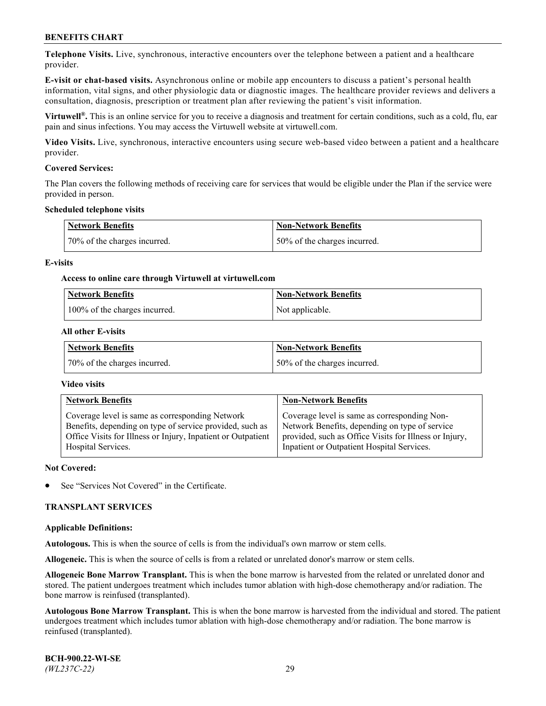**Telephone Visits.** Live, synchronous, interactive encounters over the telephone between a patient and a healthcare provider.

**E-visit or chat-based visits.** Asynchronous online or mobile app encounters to discuss a patient's personal health information, vital signs, and other physiologic data or diagnostic images. The healthcare provider reviews and delivers a consultation, diagnosis, prescription or treatment plan after reviewing the patient's visit information.

**Virtuwell®.** This is an online service for you to receive a diagnosis and treatment for certain conditions, such as a cold, flu, ear pain and sinus infections. You may access the Virtuwell website at [virtuwell.com.](https://www.virtuwell.com/)

**Video Visits.** Live, synchronous, interactive encounters using secure web-based video between a patient and a healthcare provider.

### **Covered Services:**

The Plan covers the following methods of receiving care for services that would be eligible under the Plan if the service were provided in person.

#### **Scheduled telephone visits**

| <b>Network Benefits</b>      | Non-Network Benefits         |
|------------------------------|------------------------------|
| 70% of the charges incurred. | 50% of the charges incurred. |

### **E-visits**

### **Access to online care through Virtuwell at [virtuwell.com](https://www.virtuwell.com/)**

| Network Benefits              | <b>Non-Network Benefits</b> |
|-------------------------------|-----------------------------|
| 100% of the charges incurred. | Not applicable.             |

### **All other E-visits**

| <b>Network Benefits</b>      | <b>Non-Network Benefits</b>  |
|------------------------------|------------------------------|
| 70% of the charges incurred. | 50% of the charges incurred. |

#### **Video visits**

| <b>Network Benefits</b>                                      | <b>Non-Network Benefits</b>                            |
|--------------------------------------------------------------|--------------------------------------------------------|
| Coverage level is same as corresponding Network              | Coverage level is same as corresponding Non-           |
| Benefits, depending on type of service provided, such as     | Network Benefits, depending on type of service         |
| Office Visits for Illness or Injury, Inpatient or Outpatient | provided, such as Office Visits for Illness or Injury, |
| Hospital Services.                                           | Inpatient or Outpatient Hospital Services.             |

#### **Not Covered:**

See "Services Not Covered" in the Certificate.

### **TRANSPLANT SERVICES**

#### **Applicable Definitions:**

**Autologous.** This is when the source of cells is from the individual's own marrow or stem cells.

**Allogeneic.** This is when the source of cells is from a related or unrelated donor's marrow or stem cells.

**Allogeneic Bone Marrow Transplant.** This is when the bone marrow is harvested from the related or unrelated donor and stored. The patient undergoes treatment which includes tumor ablation with high-dose chemotherapy and/or radiation. The bone marrow is reinfused (transplanted).

**Autologous Bone Marrow Transplant.** This is when the bone marrow is harvested from the individual and stored. The patient undergoes treatment which includes tumor ablation with high-dose chemotherapy and/or radiation. The bone marrow is reinfused (transplanted).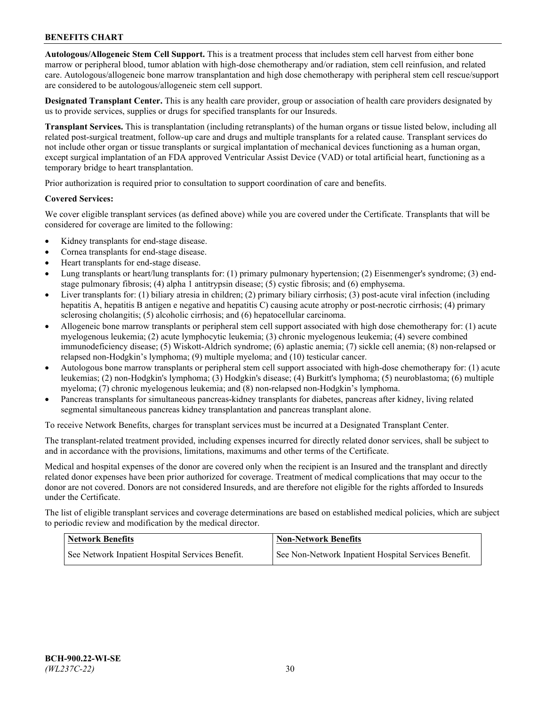**Autologous/Allogeneic Stem Cell Support.** This is a treatment process that includes stem cell harvest from either bone marrow or peripheral blood, tumor ablation with high-dose chemotherapy and/or radiation, stem cell reinfusion, and related care. Autologous/allogeneic bone marrow transplantation and high dose chemotherapy with peripheral stem cell rescue/support are considered to be autologous/allogeneic stem cell support.

**Designated Transplant Center.** This is any health care provider, group or association of health care providers designated by us to provide services, supplies or drugs for specified transplants for our Insureds.

**Transplant Services.** This is transplantation (including retransplants) of the human organs or tissue listed below, including all related post-surgical treatment, follow-up care and drugs and multiple transplants for a related cause. Transplant services do not include other organ or tissue transplants or surgical implantation of mechanical devices functioning as a human organ, except surgical implantation of an FDA approved Ventricular Assist Device (VAD) or total artificial heart, functioning as a temporary bridge to heart transplantation.

Prior authorization is required prior to consultation to support coordination of care and benefits.

### **Covered Services:**

We cover eligible transplant services (as defined above) while you are covered under the Certificate. Transplants that will be considered for coverage are limited to the following:

- Kidney transplants for end-stage disease.
- Cornea transplants for end-stage disease.
- Heart transplants for end-stage disease.
- Lung transplants or heart/lung transplants for: (1) primary pulmonary hypertension; (2) Eisenmenger's syndrome; (3) endstage pulmonary fibrosis; (4) alpha 1 antitrypsin disease; (5) cystic fibrosis; and (6) emphysema.
- Liver transplants for: (1) biliary atresia in children; (2) primary biliary cirrhosis; (3) post-acute viral infection (including hepatitis A, hepatitis B antigen e negative and hepatitis C) causing acute atrophy or post-necrotic cirrhosis; (4) primary sclerosing cholangitis; (5) alcoholic cirrhosis; and (6) hepatocellular carcinoma.
- Allogeneic bone marrow transplants or peripheral stem cell support associated with high dose chemotherapy for: (1) acute myelogenous leukemia; (2) acute lymphocytic leukemia; (3) chronic myelogenous leukemia; (4) severe combined immunodeficiency disease; (5) Wiskott-Aldrich syndrome; (6) aplastic anemia; (7) sickle cell anemia; (8) non-relapsed or relapsed non-Hodgkin's lymphoma; (9) multiple myeloma; and (10) testicular cancer.
- Autologous bone marrow transplants or peripheral stem cell support associated with high-dose chemotherapy for: (1) acute leukemias; (2) non-Hodgkin's lymphoma; (3) Hodgkin's disease; (4) Burkitt's lymphoma; (5) neuroblastoma; (6) multiple myeloma; (7) chronic myelogenous leukemia; and (8) non-relapsed non-Hodgkin's lymphoma.
- Pancreas transplants for simultaneous pancreas-kidney transplants for diabetes, pancreas after kidney, living related segmental simultaneous pancreas kidney transplantation and pancreas transplant alone.

To receive Network Benefits, charges for transplant services must be incurred at a Designated Transplant Center.

The transplant-related treatment provided, including expenses incurred for directly related donor services, shall be subject to and in accordance with the provisions, limitations, maximums and other terms of the Certificate.

Medical and hospital expenses of the donor are covered only when the recipient is an Insured and the transplant and directly related donor expenses have been prior authorized for coverage. Treatment of medical complications that may occur to the donor are not covered. Donors are not considered Insureds, and are therefore not eligible for the rights afforded to Insureds under the Certificate.

The list of eligible transplant services and coverage determinations are based on established medical policies, which are subject to periodic review and modification by the medical director.

| <b>Network Benefits</b>                          | <b>Non-Network Benefits</b>                          |
|--------------------------------------------------|------------------------------------------------------|
| See Network Inpatient Hospital Services Benefit. | See Non-Network Inpatient Hospital Services Benefit. |